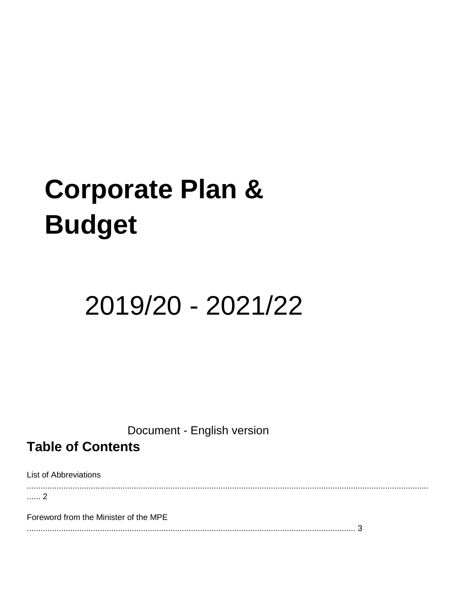# **Corporate Plan & Budget**

# 2019/20 - 2021/22

Document - English version

**Table of Contents** 

List of Abbreviations

................................................................................................................................................................................ ...... 2

Foreword from the Minister of the MPE

................................................................................................................................................ 3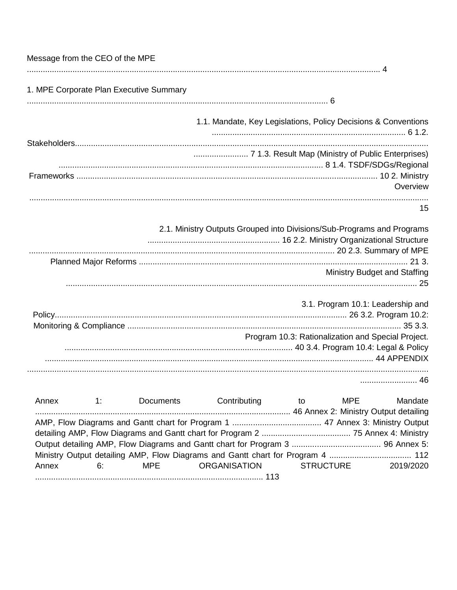| Message from the CEO of the MPE                                                                                                                                      |
|----------------------------------------------------------------------------------------------------------------------------------------------------------------------|
| 1. MPE Corporate Plan Executive Summary                                                                                                                              |
| 1.1. Mandate, Key Legislations, Policy Decisions & Conventions                                                                                                       |
|                                                                                                                                                                      |
| Overview                                                                                                                                                             |
| 15                                                                                                                                                                   |
| 2.1. Ministry Outputs Grouped into Divisions/Sub-Programs and Programs                                                                                               |
| <b>Ministry Budget and Staffing</b>                                                                                                                                  |
| 3.1. Program 10.1: Leadership and                                                                                                                                    |
| Program 10.3: Rationalization and Special Project.                                                                                                                   |
| 46                                                                                                                                                                   |
| Contributing<br>Mandate<br>Annex<br>Documents<br>MPE<br>1:<br>to                                                                                                     |
|                                                                                                                                                                      |
| Ministry Output detailing AMP, Flow Diagrams and Gantt chart for Program 4  112<br><b>ORGANISATION</b><br><b>MPE</b><br><b>STRUCTURE</b><br>Annex<br>6:<br>2019/2020 |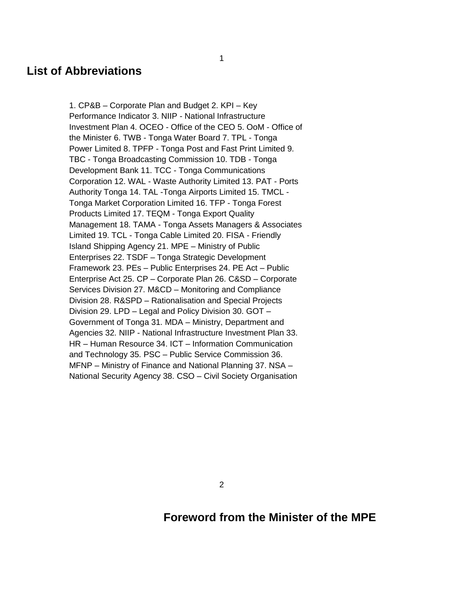## **List of Abbreviations**

1. CP&B – Corporate Plan and Budget 2. KPI – Key Performance Indicator 3. NIIP - National Infrastructure Investment Plan 4. OCEO - Office of the CEO 5. OoM - Office of the Minister 6. TWB - Tonga Water Board 7. TPL - Tonga Power Limited 8. TPFP - Tonga Post and Fast Print Limited 9. TBC - Tonga Broadcasting Commission 10. TDB - Tonga Development Bank 11. TCC - Tonga Communications Corporation 12. WAL - Waste Authority Limited 13. PAT - Ports Authority Tonga 14. TAL -Tonga Airports Limited 15. TMCL - Tonga Market Corporation Limited 16. TFP - Tonga Forest Products Limited 17. TEQM - Tonga Export Quality Management 18. TAMA - Tonga Assets Managers & Associates Limited 19. TCL - Tonga Cable Limited 20. FISA - Friendly Island Shipping Agency 21. MPE – Ministry of Public Enterprises 22. TSDF – Tonga Strategic Development Framework 23. PEs – Public Enterprises 24. PE Act – Public Enterprise Act 25. CP – Corporate Plan 26. C&SD – Corporate Services Division 27. M&CD – Monitoring and Compliance Division 28. R&SPD – Rationalisation and Special Projects Division 29. LPD – Legal and Policy Division 30. GOT – Government of Tonga 31. MDA – Ministry, Department and Agencies 32. NIIP - National Infrastructure Investment Plan 33. HR – Human Resource 34. ICT – Information Communication and Technology 35. PSC – Public Service Commission 36. MFNP – Ministry of Finance and National Planning 37. NSA – National Security Agency 38. CSO – Civil Society Organisation

2

## **Foreword from the Minister of the MPE**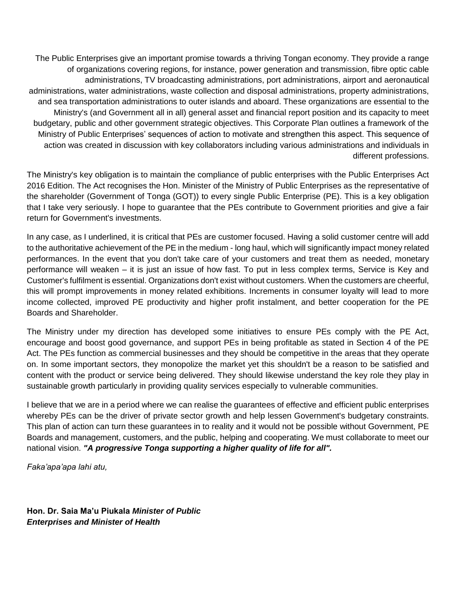The Public Enterprises give an important promise towards a thriving Tongan economy. They provide a range of organizations covering regions, for instance, power generation and transmission, fibre optic cable administrations, TV broadcasting administrations, port administrations, airport and aeronautical administrations, water administrations, waste collection and disposal administrations, property administrations, and sea transportation administrations to outer islands and aboard. These organizations are essential to the Ministry's (and Government all in all) general asset and financial report position and its capacity to meet budgetary, public and other government strategic objectives. This Corporate Plan outlines a framework of the Ministry of Public Enterprises' sequences of action to motivate and strengthen this aspect. This sequence of action was created in discussion with key collaborators including various administrations and individuals in different professions.

The Ministry's key obligation is to maintain the compliance of public enterprises with the Public Enterprises Act 2016 Edition. The Act recognises the Hon. Minister of the Ministry of Public Enterprises as the representative of the shareholder (Government of Tonga (GOT)) to every single Public Enterprise (PE). This is a key obligation that I take very seriously. I hope to guarantee that the PEs contribute to Government priorities and give a fair return for Government's investments.

In any case, as I underlined, it is critical that PEs are customer focused. Having a solid customer centre will add to the authoritative achievement of the PE in the medium - long haul, which will significantly impact money related performances. In the event that you don't take care of your customers and treat them as needed, monetary performance will weaken – it is just an issue of how fast. To put in less complex terms, Service is Key and Customer's fulfilment is essential. Organizations don't exist without customers. When the customers are cheerful, this will prompt improvements in money related exhibitions. Increments in consumer loyalty will lead to more income collected, improved PE productivity and higher profit instalment, and better cooperation for the PE Boards and Shareholder.

The Ministry under my direction has developed some initiatives to ensure PEs comply with the PE Act, encourage and boost good governance, and support PEs in being profitable as stated in Section 4 of the PE Act. The PEs function as commercial businesses and they should be competitive in the areas that they operate on. In some important sectors, they monopolize the market yet this shouldn't be a reason to be satisfied and content with the product or service being delivered. They should likewise understand the key role they play in sustainable growth particularly in providing quality services especially to vulnerable communities.

I believe that we are in a period where we can realise the guarantees of effective and efficient public enterprises whereby PEs can be the driver of private sector growth and help lessen Government's budgetary constraints. This plan of action can turn these guarantees in to reality and it would not be possible without Government, PE Boards and management, customers, and the public, helping and cooperating. We must collaborate to meet our national vision. *"A progressive Tonga supporting a higher quality of life for all".* 

*Faka'apa'apa lahi atu,* 

**Hon. Dr. Saia Ma'u Piukala** *Minister of Public Enterprises and Minister of Health*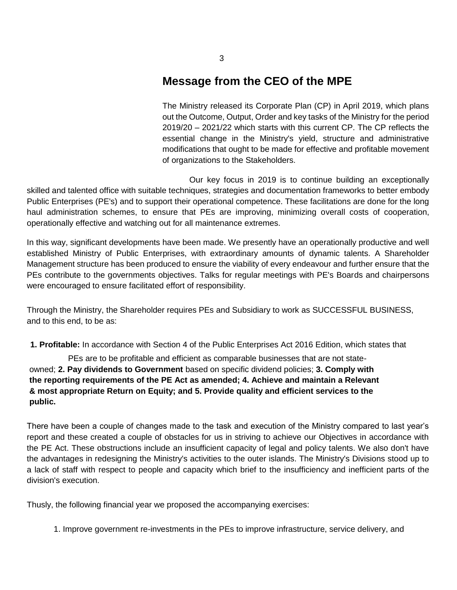## **Message from the CEO of the MPE**

The Ministry released its Corporate Plan (CP) in April 2019, which plans out the Outcome, Output, Order and key tasks of the Ministry for the period 2019/20 – 2021/22 which starts with this current CP. The CP reflects the essential change in the Ministry's yield, structure and administrative modifications that ought to be made for effective and profitable movement of organizations to the Stakeholders.

Our key focus in 2019 is to continue building an exceptionally skilled and talented office with suitable techniques, strategies and documentation frameworks to better embody Public Enterprises (PE's) and to support their operational competence. These facilitations are done for the long haul administration schemes, to ensure that PEs are improving, minimizing overall costs of cooperation, operationally effective and watching out for all maintenance extremes.

In this way, significant developments have been made. We presently have an operationally productive and well established Ministry of Public Enterprises, with extraordinary amounts of dynamic talents. A Shareholder Management structure has been produced to ensure the viability of every endeavour and further ensure that the PEs contribute to the governments objectives. Talks for regular meetings with PE's Boards and chairpersons were encouraged to ensure facilitated effort of responsibility.

Through the Ministry, the Shareholder requires PEs and Subsidiary to work as SUCCESSFUL BUSINESS, and to this end, to be as:

**1. Profitable:** In accordance with Section 4 of the Public Enterprises Act 2016 Edition, which states that

PEs are to be profitable and efficient as comparable businesses that are not stateowned; **2. Pay dividends to Government** based on specific dividend policies; **3. Comply with the reporting requirements of the PE Act as amended; 4. Achieve and maintain a Relevant & most appropriate Return on Equity; and 5. Provide quality and efficient services to the public.** 

There have been a couple of changes made to the task and execution of the Ministry compared to last year's report and these created a couple of obstacles for us in striving to achieve our Objectives in accordance with the PE Act. These obstructions include an insufficient capacity of legal and policy talents. We also don't have the advantages in redesigning the Ministry's activities to the outer islands. The Ministry's Divisions stood up to a lack of staff with respect to people and capacity which brief to the insufficiency and inefficient parts of the division's execution.

Thusly, the following financial year we proposed the accompanying exercises:

1. Improve government re-investments in the PEs to improve infrastructure, service delivery, and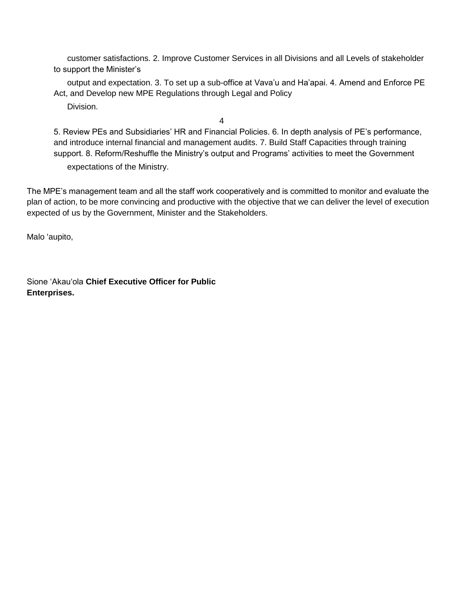customer satisfactions. 2. Improve Customer Services in all Divisions and all Levels of stakeholder to support the Minister's

output and expectation. 3. To set up a sub-office at Vava'u and Ha'apai. 4. Amend and Enforce PE Act, and Develop new MPE Regulations through Legal and Policy

Division.

4

5. Review PEs and Subsidiaries' HR and Financial Policies. 6. In depth analysis of PE's performance, and introduce internal financial and management audits. 7. Build Staff Capacities through training support. 8. Reform/Reshuffle the Ministry's output and Programs' activities to meet the Government expectations of the Ministry.

The MPE's management team and all the staff work cooperatively and is committed to monitor and evaluate the plan of action, to be more convincing and productive with the objective that we can deliver the level of execution expected of us by the Government, Minister and the Stakeholders.

Malo 'aupito,

Sione 'Akau'ola **Chief Executive Officer for Public Enterprises.**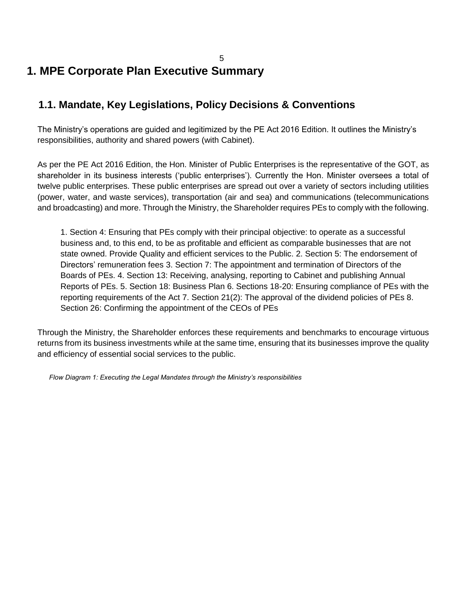## 5 **1. MPE Corporate Plan Executive Summary**

## **1.1. Mandate, Key Legislations, Policy Decisions & Conventions**

The Ministry's operations are guided and legitimized by the PE Act 2016 Edition. It outlines the Ministry's responsibilities, authority and shared powers (with Cabinet).

As per the PE Act 2016 Edition, the Hon. Minister of Public Enterprises is the representative of the GOT, as shareholder in its business interests ('public enterprises'). Currently the Hon. Minister oversees a total of twelve public enterprises. These public enterprises are spread out over a variety of sectors including utilities (power, water, and waste services), transportation (air and sea) and communications (telecommunications and broadcasting) and more. Through the Ministry, the Shareholder requires PEs to comply with the following.

1. Section 4: Ensuring that PEs comply with their principal objective: to operate as a successful business and, to this end, to be as profitable and efficient as comparable businesses that are not state owned. Provide Quality and efficient services to the Public. 2. Section 5: The endorsement of Directors' remuneration fees 3. Section 7: The appointment and termination of Directors of the Boards of PEs. 4. Section 13: Receiving, analysing, reporting to Cabinet and publishing Annual Reports of PEs. 5. Section 18: Business Plan 6. Sections 18-20: Ensuring compliance of PEs with the reporting requirements of the Act 7. Section 21(2): The approval of the dividend policies of PEs 8. Section 26: Confirming the appointment of the CEOs of PEs

Through the Ministry, the Shareholder enforces these requirements and benchmarks to encourage virtuous returns from its business investments while at the same time, ensuring that its businesses improve the quality and efficiency of essential social services to the public.

*Flow Diagram 1: Executing the Legal Mandates through the Ministry's responsibilities*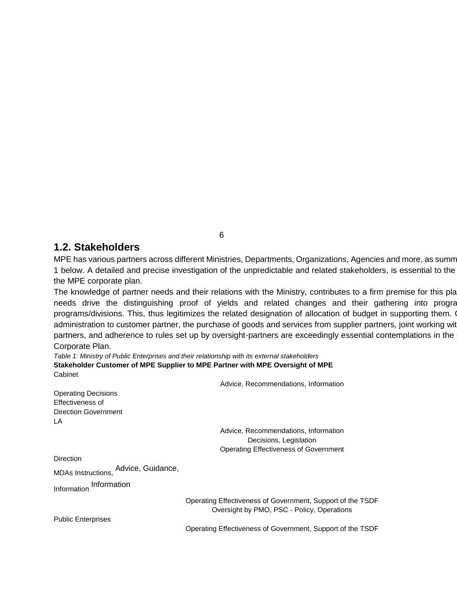### **1.2. Stakeholders**

MPE has various partners across different Ministries, Departments, Organizations, Agencies and more, as summ 1 below. A detailed and precise investigation of the unpredictable and related stakeholders, is essential to the the MPE corporate plan.

The knowledge of partner needs and their relations with the Ministry, contributes to a firm premise for this pla needs drive the distinguishing proof of yields and related changes and their gathering into progra programs/divisions. This, thus legitimizes the related designation of allocation of budget in supporting them. administration to customer partner, the purchase of goods and services from supplier partners, joint working wit partners, and adherence to rules set up by oversight-partners are exceedingly essential contemplations in the Corporate Plan.

*Table 1: Ministry of Public Enterprises and their relationship with its external stakeholders*  **Stakeholder Customer of MPE Supplier to MPE Partner with MPE Oversight of MPE**  Cabinet

Advice, Recommendations, Information Operating Decisions Effectiveness of Direction Government LA Advice, Recommendations, Information Decisions, Legislation Operating Effectiveness of Government **Direction** MDAs Instructions, Advice, Guidance, Information Information Operating Effectiveness of Government, Support of the TSDF Oversight by PMO, PSC - Policy, Operations Public Enterprises Operating Effectiveness of Government, Support of the TSDF

6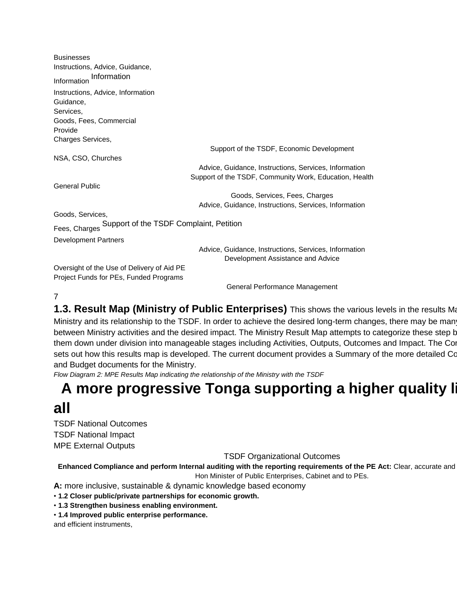| <b>Businesses</b>                                     |                                                                                            |
|-------------------------------------------------------|--------------------------------------------------------------------------------------------|
| Instructions, Advice, Guidance,                       |                                                                                            |
| Information<br>Information                            |                                                                                            |
| Instructions, Advice, Information                     |                                                                                            |
| Guidance,                                             |                                                                                            |
| Services,                                             |                                                                                            |
| Goods, Fees, Commercial                               |                                                                                            |
| Provide                                               |                                                                                            |
| Charges Services,                                     |                                                                                            |
|                                                       | Support of the TSDF, Economic Development                                                  |
| NSA, CSO, Churches                                    |                                                                                            |
|                                                       | Advice, Guidance, Instructions, Services, Information                                      |
|                                                       | Support of the TSDF, Community Work, Education, Health                                     |
| <b>General Public</b>                                 |                                                                                            |
|                                                       | Goods, Services, Fees, Charges                                                             |
|                                                       | Advice, Guidance, Instructions, Services, Information                                      |
| Goods, Services,                                      |                                                                                            |
| Fees, Charges Support of the TSDF Complaint, Petition |                                                                                            |
| <b>Development Partners</b>                           |                                                                                            |
|                                                       | Advice, Guidance, Instructions, Services, Information<br>Development Assistance and Advice |
| Oversight of the Use of Delivery of Aid PE            |                                                                                            |
| Project Funds for PEs, Funded Programs                |                                                                                            |
|                                                       | General Performance Management                                                             |

7

**1.3. Result Map (Ministry of Public Enterprises)** This shows the various levels in the results Ma Ministry and its relationship to the TSDF. In order to achieve the desired long-term changes, there may be man between Ministry activities and the desired impact. The Ministry Result Map attempts to categorize these step b them down under division into manageable stages including Activities, Outputs, Outcomes and Impact. The Corporation sets out how this results map is developed. The current document provides a Summary of the more detailed Co and Budget documents for the Ministry.

*Flow Diagram 2: MPE Results Map indicating the relationship of the Ministry with the TSDF* 

## **A more progressive Tonga supporting a higher quality I all"**

TSDF National Outcomes TSDF National Impact MPE External Outputs

TSDF Organizational Outcomes

Enhanced Compliance and perform Internal auditing with the reporting requirements of the PE Act: Clear, accurate and Hon Minister of Public Enterprises, Cabinet and to PEs.

**A:** more inclusive, sustainable & dynamic knowledge based economy

- **1.2 Closer public/private partnerships for economic growth.**
- **1.3 Strengthen business enabling environment.**
- **1.4 Improved public enterprise performance.**

and efficient instruments,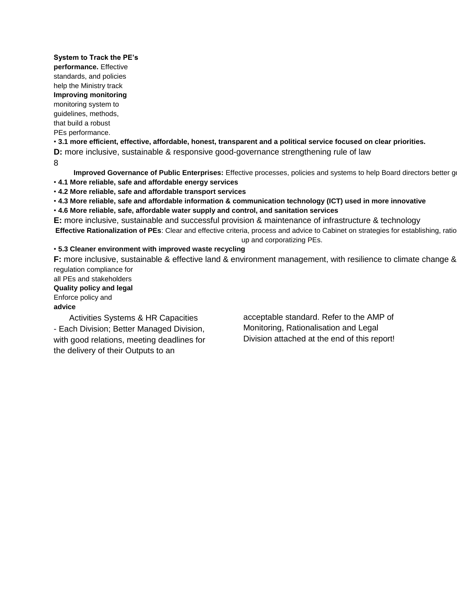#### **System to Track the PE's**

**performance.** Effective

standards, and policies

#### help the Ministry track **Improving monitoring**

monitoring system to guidelines, methods,

that build a robust PEs performance.

• **3.1 more efficient, effective, affordable, honest, transparent and a political service focused on clear priorities.** 

**D:** more inclusive, sustainable & responsive good-governance strengthening rule of law

8

**Improved Governance of Public Enterprises:** Effective processes, policies and systems to help Board directors better govern • **4.1 More reliable, safe and affordable energy services** 

• **4.2 More reliable, safe and affordable transport services** 

• **4.3 More reliable, safe and affordable information & communication technology (ICT) used in more innovative** 

• **4.6 More reliable, safe, affordable water supply and control, and sanitation services** 

**E:** more inclusive, sustainable and successful provision & maintenance of infrastructure & technology Effective Rationalization of PEs: Clear and effective criteria, process and advice to Cabinet on strategies for establishing, ratio up and corporatizing PEs.

#### • **5.3 Cleaner environment with improved waste recycling**

**F:** more inclusive, sustainable & effective land & environment management, with resilience to climate change & regulation compliance for

all PEs and stakeholders **Quality policy and legal**  Enforce policy and

#### **advice**

Activities Systems & HR Capacities - Each Division; Better Managed Division, with good relations, meeting deadlines for the delivery of their Outputs to an

acceptable standard. Refer to the AMP of Monitoring, Rationalisation and Legal Division attached at the end of this report!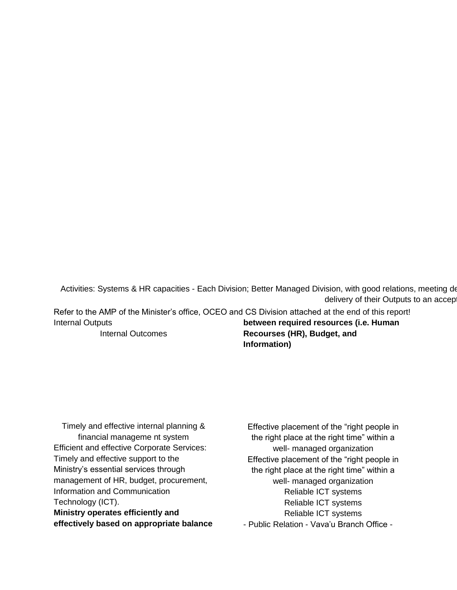Activities: Systems & HR capacities - Each Division; Better Managed Division, with good relations, meeting deadlines for the formula for the formula for the formula for the theories for the formula for the formula for the delivery of their Outputs to an acceptable standard.

Refer to the AMP of the Minister's office, OCEO and CS Division attached at the end of this report! Internal Outputs **between required resources (i.e. Human** 

Internal Outcomes

**Recourses (HR), Budget, and Information)** 

Timely and effective internal planning & financial manageme nt system Efficient and effective Corporate Services: Timely and effective support to the Ministry's essential services through management of HR, budget, procurement, Information and Communication Technology (ICT). **Ministry operates efficiently and effectively based on appropriate balance** 

Effective placement of the "right people in the right place at the right time" within a well- managed organization Effective placement of the "right people in the right place at the right time" within a well- managed organization Reliable ICT systems Reliable ICT systems Reliable ICT systems - Public Relation - Vava'u Branch Office -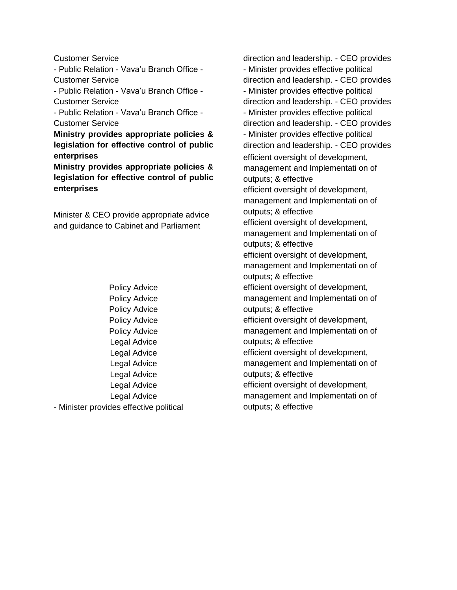Customer Service

- Public Relation - Vava'u Branch Office - Customer Service

- Public Relation - Vava'u Branch Office - Customer Service

- Public Relation - Vava'u Branch Office - Customer Service

**Ministry provides appropriate policies & legislation for effective control of public enterprises** 

**Ministry provides appropriate policies & legislation for effective control of public enterprises** 

Minister & CEO provide appropriate advice and guidance to Cabinet and Parliament

Policy Advice Policy Advice Policy Advice Policy Advice Policy Advice Legal Advice Legal Advice Legal Advice Legal Advice Legal Advice Legal Advice - Minister provides effective political

direction and leadership. - CEO provides - Minister provides effective political direction and leadership. - CEO provides - Minister provides effective political direction and leadership. - CEO provides - Minister provides effective political direction and leadership. - CEO provides - Minister provides effective political direction and leadership. - CEO provides efficient oversight of development, management and Implementati on of outputs; & effective efficient oversight of development, management and Implementati on of outputs; & effective efficient oversight of development, management and Implementati on of outputs; & effective efficient oversight of development, management and Implementati on of outputs; & effective efficient oversight of development, management and Implementati on of outputs; & effective efficient oversight of development, management and Implementati on of outputs; & effective efficient oversight of development, management and Implementati on of outputs; & effective efficient oversight of development, management and Implementati on of outputs; & effective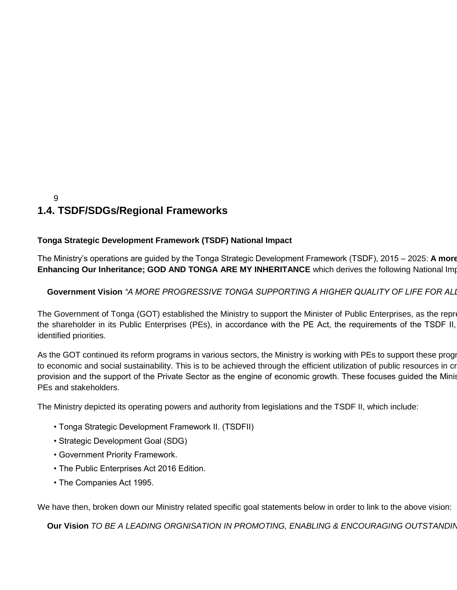### 9 **1.4. TSDF/SDGs/Regional Frameworks**

#### **Tonga Strategic Development Framework (TSDF) National Impact**

The Ministry's operations are guided by the Tonga Strategic Development Framework (TSDF), 2015 – 2025: A more **Enhancing Our Inheritance; GOD AND TONGA ARE MY INHERITANCE** which derives the following National Impaction

#### **Government Vision** *"A MORE PROGRESSIVE TONGA SUPPORTING A HIGHER QUALITY OF LIFE FOR ALL".*

The Government of Tonga (GOT) established the Ministry to support the Minister of Public Enterprises, as the repre the shareholder in its Public Enterprises (PEs), in accordance with the PE Act, the requirements of the TSDF II, identified priorities.

As the GOT continued its reform programs in various sectors, the Ministry is working with PEs to support these progr to economic and social sustainability. This is to be achieved through the efficient utilization of public resources in cr provision and the support of the Private Sector as the engine of economic growth. These focuses guided the Minis PEs and stakeholders.

The Ministry depicted its operating powers and authority from legislations and the TSDF II, which include:

- Tonga Strategic Development Framework II. (TSDFII)
- Strategic Development Goal (SDG)
- Government Priority Framework.
- The Public Enterprises Act 2016 Edition.
- The Companies Act 1995.

We have then, broken down our Ministry related specific goal statements below in order to link to the above vision:

**Our Vision** TO BE A LEADING ORGNISATION IN PROMOTING, ENABLING & ENCOURAGING OUTSTANDIN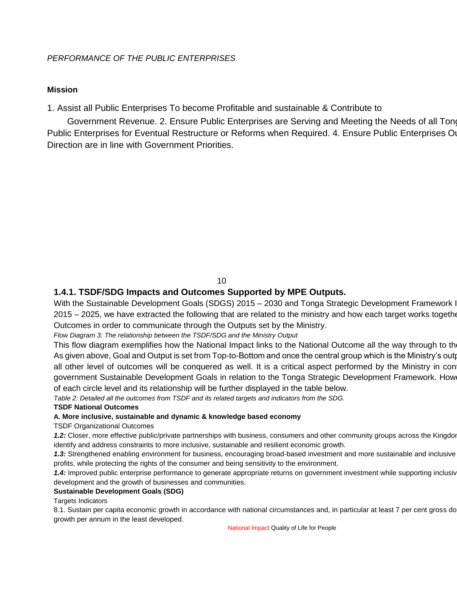#### **Mission**

1. Assist all Public Enterprises To become Profitable and sustainable & Contribute to

Government Revenue. 2. Ensure Public Enterprises are Serving and Meeting the Needs of all Tong Public Enterprises for Eventual Restructure or Reforms when Required. 4. Ensure Public Enterprises O Direction are in line with Government Priorities.

#### 10

#### **1.4.1. TSDF/SDG Impacts and Outcomes Supported by MPE Outputs.**

With the Sustainable Development Goals (SDGS) 2015 – 2030 and Tonga Strategic Development Framework I 2015 – 2025, we have extracted the following that are related to the ministry and how each target works togethe Outcomes in order to communicate through the Outputs set by the Ministry.

#### *Flow Diagram 3: The relationship between the TSDF/SDG and the Ministry Output*

This flow diagram exemplifies how the National Impact links to the National Outcome all the way through to the As given above, Goal and Output is set from Top-to-Bottom and once the central group which is the Ministry's output all other level of outcomes will be conquered as well. It is a critical aspect performed by the Ministry in con government Sustainable Development Goals in relation to the Tonga Strategic Development Framework. How of each circle level and its relationship will be further displayed in the table below.

*Table 2: Detailed all the outcomes from TSDF and its related targets and indicators from the SDG.* 

#### **TSDF National Outcomes**

#### **A. More inclusive, sustainable and dynamic & knowledge based economy**

#### TSDF Organizational Outcomes

1.2: Closer, more effective public/private partnerships with business, consumers and other community groups across the Kingdor identify and address constraints to more inclusive, sustainable and resilient economic growth.

1.3: Strengthened enabling environment for business, encouraging broad-based investment and more sustainable and inclusive profits, while protecting the rights of the consumer and being sensitivity to the environment.

1.4: Improved public enterprise performance to generate appropriate returns on government investment while supporting inclusiv development and the growth of businesses and communities.

#### **Sustainable Development Goals (SDG)**

#### Targets Indicators

8.1. Sustain per capita economic growth in accordance with national circumstances and, in particular at least 7 per cent gross do growth per annum in the least developed.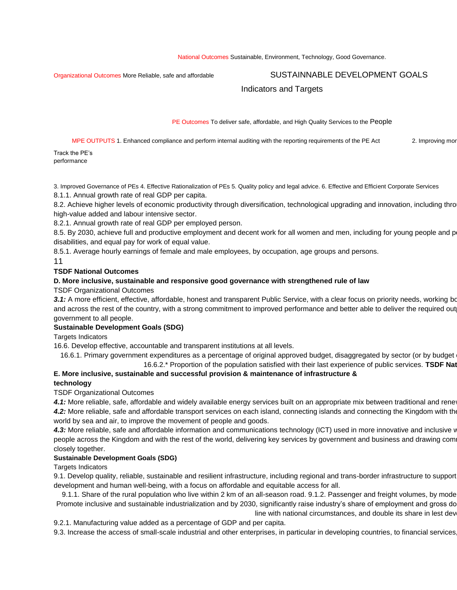#### Organizational Outcomes More Reliable, safe and affordable **GOOUTCALS** SUSTAINNABLE DEVELOPMENT GOALS

#### Indicators and Targets

PE Outcomes To deliver safe, affordable, and High Quality Services to the People

MPE OUTPUTS 1. Enhanced compliance and perform internal auditing with the reporting requirements of the PE Act 2. Improving more

Track the PE's performance

3. Improved Governance of PEs 4. Effective Rationalization of PEs 5. Quality policy and legal advice. 6. Effective and Efficient Corporate Services 8.1.1. Annual growth rate of real GDP per capita.

8.2. Achieve higher levels of economic productivity through diversification, technological upgrading and innovation, including thro high-value added and labour intensive sector.

8.2.1. Annual growth rate of real GDP per employed person.

8.5. By 2030, achieve full and productive employment and decent work for all women and men, including for young people and p disabilities, and equal pay for work of equal value.

8.5.1. Average hourly earnings of female and male employees, by occupation, age groups and persons.

11

#### **TSDF National Outcomes**

#### **D. More inclusive, sustainable and responsive good governance with strengthened rule of law**

TSDF Organizational Outcomes

3.1: A more efficient, effective, affordable, honest and transparent Public Service, with a clear focus on priority needs, working both in the capital metal of the capital metal of the capital metal of the capital metal me and across the rest of the country, with a strong commitment to improved performance and better able to deliver the required out government to all people.

#### **Sustainable Development Goals (SDG)**

Targets Indicators

16.6. Develop effective, accountable and transparent institutions at all levels.

16.6.1. Primary government expenditures as a percentage of original approved budget, disaggregated by sector (or by budget 16.6.2.\* Proportion of the population satisfied with their last experience of public services. **TSDF National Outcomes** 

#### **E. More inclusive, sustainable and successful provision & maintenance of infrastructure & technology**

#### TSDF Organizational Outcomes

4.1: More reliable, safe, affordable and widely available energy services built on an appropriate mix between traditional and rene 4.2: More reliable, safe and affordable transport services on each island, connecting islands and connecting the Kingdom with the world by sea and air, to improve the movement of people and goods.

4.3: More reliable, safe and affordable information and communications technology (ICT) used in more innovative and inclusive v people across the Kingdom and with the rest of the world, delivering key services by government and business and drawing com closely together.

#### **Sustainable Development Goals (SDG)**

Targets Indicators

9.1. Develop quality, reliable, sustainable and resilient infrastructure, including regional and trans-border infrastructure to support development and human well-being, with a focus on affordable and equitable access for all.

9.1.1. Share of the rural population who live within 2 km of an all-season road. 9.1.2. Passenger and freight volumes, by mode Promote inclusive and sustainable industrialization and by 2030, significantly raise industry's share of employment and gross do line with national circumstances, and double its share in lest dev

9.2.1. Manufacturing value added as a percentage of GDP and per capita.

9.3. Increase the access of small-scale industrial and other enterprises, in particular in developing countries, to financial services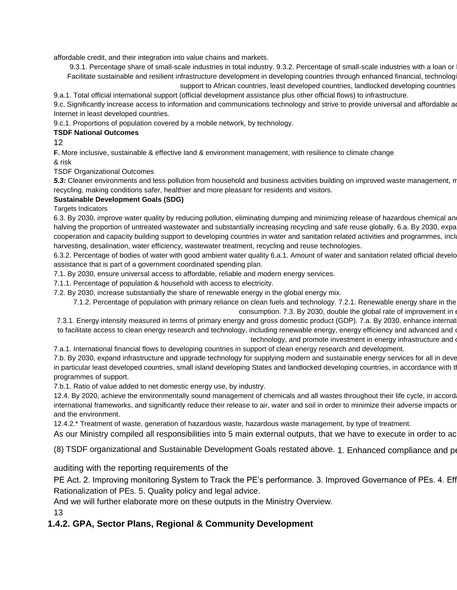affordable credit, and their integration into value chains and markets.

9.3.1. Percentage share of small-scale industries in total industry. 9.3.2. Percentage of small-scale industries with a loan or Facilitate sustainable and resilient infrastructure development in developing countries through enhanced financial, technolog support to African countries, least developed countries, landlocked developing countries

9.a.1. Total official international support (official development assistance plus other official flows) to infrastructure.

9.c. Significantly increase access to information and communications technology and strive to provide universal and affordable a Internet in least developed countries.

9.c.1. Proportions of population covered by a mobile network, by technology.

#### **TSDF National Outcomes**

12

**F.** More inclusive, sustainable & effective land & environment management, with resilience to climate change & risk

TSDF Organizational Outcomes

5.3: Cleaner environments and less pollution from household and business activities building on improved waste management, n recycling, making conditions safer, healthier and more pleasant for residents and visitors.

#### **Sustainable Development Goals (SDG)**

Targets Indicators

6.3. By 2030, improve water quality by reducing pollution, eliminating dumping and minimizing release of hazardous chemical an halving the proportion of untreated wastewater and substantially increasing recycling and safe reuse globally. 6.a. By 2030, expa cooperation and capacity building support to developing countries in water and sanitation related activities and programmes, inclu harvesting, desalination, water efficiency, wastewater treatment, recycling and reuse technologies.

6.3.2. Percentage of bodies of water with good ambient water quality 6.a.1. Amount of water and sanitation related official develo assistance that is part of a government coordinated spending plan.

7.1. By 2030, ensure universal access to affordable, reliable and modern energy services.

7.1.1. Percentage of population & household with access to electricity.

7.2. By 2030, increase substantially the share of renewable energy in the global energy mix.

7.1.2. Percentage of population with primary reliance on clean fuels and technology. 7.2.1. Renewable energy share in the consumption. 7.3. By 2030, double the global rate of improvement in

7.3.1. Energy intensity measured in terms of primary energy and gross domestic product (GDP). 7.a. By 2030, enhance internat to facilitate access to clean energy research and technology, including renewable energy, energy efficiency and advanced and o

technology, and promote investment in energy infrastructure and o

7.a.1. International financial flows to developing countries in support of clean energy research and development.

7.b. By 2030, expand infrastructure and upgrade technology for supplying modern and sustainable energy services for all in deve in particular least developed countries, small island developing States and landlocked developing countries, in accordance with the programmes of support.

7.b.1. Ratio of value added to net domestic energy use, by industry.

12.4. By 2020, achieve the environmentally sound management of chemicals and all wastes throughout their life cycle, in accord international frameworks, and significantly reduce their release to air, water and soil in order to minimize their adverse impacts or and the environment.

12.4.2.\* Treatment of waste, generation of hazardous waste, hazardous waste management, by type of treatment.

As our Ministry compiled all responsibilities into 5 main external outputs, that we have to execute in order to ac

(8) TSDF organizational and Sustainable Development Goals restated above. 1. Enhanced compliance and perform in

auditing with the reporting requirements of the

PE Act. 2. Improving monitoring System to Track the PE's performance. 3. Improved Governance of PEs. 4. Eff Rationalization of PEs. 5. Quality policy and legal advice.

And we will further elaborate more on these outputs in the Ministry Overview.

13

#### **1.4.2. GPA, Sector Plans, Regional & Community Development**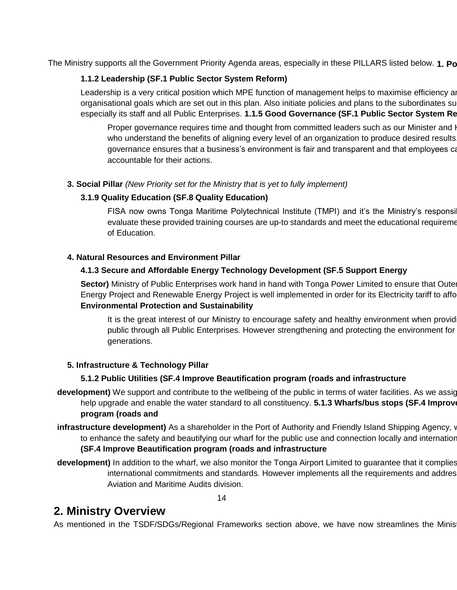The Ministry supports all the Government Priority Agenda areas, especially in these PILLARS listed below. **1. Po** 

#### **1.1.2 Leadership (SF.1 Public Sector System Reform)**

Leadership is a very critical position which MPE function of management helps to maximise efficiency and to achieve organisational goals which are set out in this plan. Also initiate policies and plans to the subordinates su especially its staff and all Public Enterprises. 1.1.5 Good Governance (SF.1 Public Sector System Re

Proper governance requires time and thought from committed leaders such as our Minister and I who understand the benefits of aligning every level of an organization to produce desired results. governance ensures that a business's environment is fair and transparent and that employees ca accountable for their actions.

**3. Social Pillar** *(New Priority set for the Ministry that is yet to fully implement)* 

#### **3.1.9 Quality Education (SF.8 Quality Education)**

FISA now owns Tonga Maritime Polytechnical Institute (TMPI) and it's the Ministry's responsi evaluate these provided training courses are up-to standards and meet the educational requirements of Education.

#### **4. Natural Resources and Environment Pillar**

#### **4.1.3 Secure and Affordable Energy Technology Development (SF.5 Support Energy**

**Sector)** Ministry of Public Enterprises work hand in hand with Tonga Power Limited to ensure that Oute Energy Project and Renewable Energy Project is well implemented in order for its Electricity tariff to affo **Environmental Protection and Sustainability** 

It is the great interest of our Ministry to encourage safety and healthy environment when provid public through all Public Enterprises. However strengthening and protecting the environment for generations.

#### **5. Infrastructure & Technology Pillar**

#### **5.1.2 Public Utilities (SF.4 Improve Beautification program (roads and infrastructure**

- **development)** We support and contribute to the wellbeing of the public in terms of water facilities. As we assig help upgrade and enable the water standard to all constituency. **5.1.3 Wharfs/bus stops (SF.4 Improve program (roads and**
- **infrastructure development)** As a shareholder in the Port of Authority and Friendly Island Shipping Agency, v to enhance the safety and beautifying our wharf for the public use and connection locally and internatior **(SF.4 Improve Beautification program (roads and infrastructure**
- development) In addition to the wharf, we also monitor the Tonga Airport Limited to guarantee that it complies international commitments and standards. However implements all the requirements and addres Aviation and Maritime Audits division.

#### 14

## **2. Ministry Overview**

As mentioned in the TSDF/SDGs/Regional Frameworks section above, we have now streamlines the Minis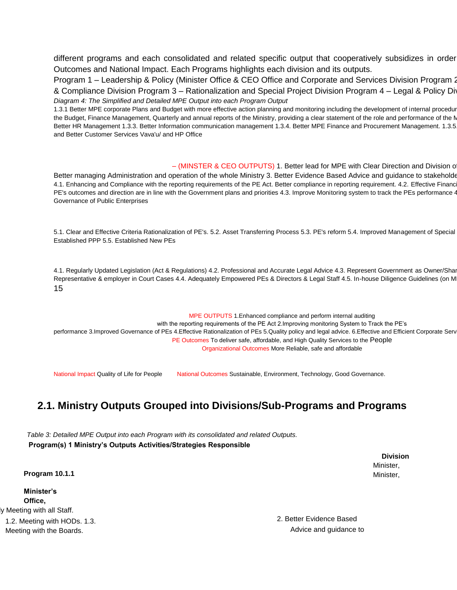different programs and each consolidated and related specific output that cooperatively subsidizes in order Outcomes and National Impact. Each Programs highlights each division and its outputs.

Program 1 – Leadership & Policy (Minister Office & CEO Office and Corporate and Services Division Program 2 & Compliance Division Program 3 – Rationalization and Special Project Division Program 4 – Legal & Policy Division *Flow Diagram 4: The Simplified and Detailed MPE Output into each Program Output* 

1.3.1 Better MPE corporate Plans and Budget with more effective action planning and monitoring including the development of internal procedur the Budget, Finance Management, Quarterly and annual reports of the Ministry, providing a clear statement of the role and performance of the N Better HR Management 1.3.3. Better Information communication management 1.3.4. Better MPE Finance and Procurement Management. 1.3.5 and Better Customer Services Vava'u/ and HP Office

 $-$  (MINSTER & CEO OUTPUTS) 1. Better lead for MPE with Clear Direction and Division of Better managing Administration and operation of the whole Ministry 3. Better Evidence Based Advice and guidance to stakeholde 4.1. Enhancing and Compliance with the reporting requirements of the PE Act. Better compliance in reporting requirement. 4.2. Effective Financ PE's outcomes and direction are in line with the Government plans and priorities 4.3. Improve Monitoring system to track the PEs performance 4 Governance of Public Enterprises

5.1. Clear and Effective Criteria Rationalization of PE's. 5.2. Asset Transferring Process 5.3. PE's reform 5.4. Improved Management of Special Established PPP 5.5. Established New PEs

4.1. Regularly Updated Legislation (Act & Regulations) 4.2. Professional and Accurate Legal Advice 4.3. Represent Government as Owner/Shareholder 3. Representative & employer in Court Cases 4.4. Adequately Empowered PEs & Directors & Legal Staff 4.5. In-house Diligence Guidelines (on M 15

MPE OUTPUTS 1.Enhanced compliance and perform internal auditing with the reporting requirements of the PE Act 2.Improving monitoring System to Track the PE's performance 3.Improved Governance of PEs 4.Effective Rationalization of PEs 5.Quality policy and legal advice. 6.Effective and Efficient Corporate Serv PE Outcomes To deliver safe, affordable, and High Quality Services to the People Organizational Outcomes More Reliable, safe and affordable

National Impact Quality of Life for People National Outcomes Sustainable, Environment, Technology, Good Governance.

## **2.1. Ministry Outputs Grouped into Divisions/Sub-Programs and Programs**

*Table 3: Detailed MPE Output into each Program with its consolidated and related Outputs.*  **Program(s) 1 Ministry's Outputs Activities/Strategies Responsible** 

> **Division**  Minister, Minister,

**Program 10.1.1** 

**Minister's Office,**  y Meeting with all Staff.

2. Better Evidence Based Advice and guidance to

1.2. Meeting with HODs. 1.3. Meeting with the Boards.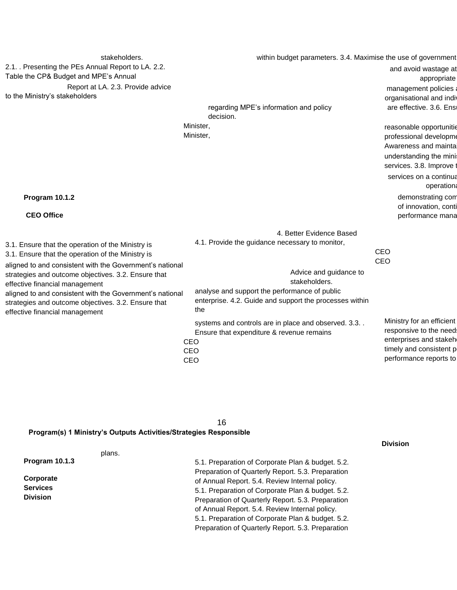| stakeholders.                                                                                                                                                                                                                                                                                                                                                                  | within budget parameters. 3.4. Maximise the use of government                                                                                                                                                                             |                                                                                                                                                                      |
|--------------------------------------------------------------------------------------------------------------------------------------------------------------------------------------------------------------------------------------------------------------------------------------------------------------------------------------------------------------------------------|-------------------------------------------------------------------------------------------------------------------------------------------------------------------------------------------------------------------------------------------|----------------------------------------------------------------------------------------------------------------------------------------------------------------------|
| 2.1. Presenting the PEs Annual Report to LA. 2.2.<br>Table the CP& Budget and MPE's Annual<br>Report at LA. 2.3. Provide advice<br>to the Ministry's stakeholders                                                                                                                                                                                                              | regarding MPE's information and policy<br>decision.                                                                                                                                                                                       | and avoid wastage at<br>appropriate<br>management policies<br>organisational and indiv<br>are effective. 3.6. Ensi                                                   |
|                                                                                                                                                                                                                                                                                                                                                                                | Minister,<br>Minister,                                                                                                                                                                                                                    | reasonable opportunitie<br>professional developme<br>Awareness and mainta<br>understanding the mini<br>services. 3.8. Improve<br>services on a continua<br>operation |
| Program 10.1.2<br><b>CEO Office</b>                                                                                                                                                                                                                                                                                                                                            |                                                                                                                                                                                                                                           | demonstrating com<br>of innovation, conti<br>performance mana                                                                                                        |
| 3.1. Ensure that the operation of the Ministry is<br>3.1. Ensure that the operation of the Ministry is<br>aligned to and consistent with the Government's national<br>strategies and outcome objectives. 3.2. Ensure that<br>effective financial management<br>aligned to and consistent with the Government's national<br>strategies and outcome objectives. 3.2. Ensure that | 4. Better Evidence Based<br>4.1. Provide the guidance necessary to monitor,<br>Advice and guidance to<br>stakeholders.<br>analyse and support the performance of public<br>enterprise. 4.2. Guide and support the processes within<br>the | <b>CEO</b><br>CEO                                                                                                                                                    |
| effective financial management                                                                                                                                                                                                                                                                                                                                                 | systems and controls are in place and observed. 3.3<br>Ensure that expenditure & revenue remains<br>CEO<br>CEO<br>CEO                                                                                                                     | Ministry for an efficient<br>responsive to the need:<br>enterprises and stakeh<br>timely and consistent p<br>performance reports to                                  |

**Division** 

#### 16 **Program(s) 1 Ministry's Outputs Activities/Strategies Responsible**

| plans.          |                                                   |
|-----------------|---------------------------------------------------|
| Program 10.1.3  | 5.1. Preparation of Corporate Plan & budget. 5.2. |
|                 | Preparation of Quarterly Report. 5.3. Preparation |
| Corporate       | of Annual Report. 5.4. Review Internal policy.    |
| <b>Services</b> | 5.1. Preparation of Corporate Plan & budget. 5.2. |
| <b>Division</b> | Preparation of Quarterly Report. 5.3. Preparation |
|                 | of Annual Report. 5.4. Review Internal policy.    |
|                 | 5.1. Preparation of Corporate Plan & budget. 5.2. |
|                 | Preparation of Quarterly Report. 5.3. Preparation |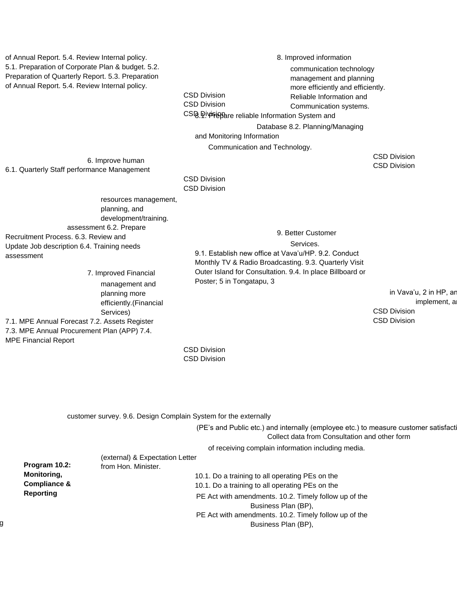of Annual Report. 5.4. Review Internal policy. 5.1. Preparation of Corporate Plan & budget. 5.2. Preparation of Quarterly Report. 5.3. Preparation of Annual Report. 5.4. Review Internal policy. CSD Division 8. Improved information

communication technology management and planning more efficiently and efficiently. Reliable Information and

Communication systems.

CSD Division

CSQ Pivisione reliable Information System and

Database 8.2. Planning/Managing

and Monitoring Information

Communication and Technology.

CSD Division CSD Division

6. Improve human 6.1. Quarterly Staff performance Management

> CSD Division CSD Division

resources management, planning, and development/training. assessment 6.2. Prepare Recruitment Process. 6.3. Review and Update Job description 6.4. Training needs assessment

> 7. Improved Financial management and planning more efficiently.(Financial Services)

7.1. MPE Annual Forecast 7.2. Assets Register 7.3. MPE Annual Procurement Plan (APP) 7.4. MPE Financial Report

#### 9. Better Customer

Services.

9.1. Establish new office at Vava'u/HP. 9.2. Conduct Monthly TV & Radio Broadcasting. 9.3. Quarterly Visit Outer Island for Consultation. 9.4. In place Billboard or Poster; 5 in Tongatapu, 3

> in Vava'u, 2 in HP, ar implement, a CSD Division CSD Division

CSD Division CSD Division

|                         | customer survey. 9.6. Design Complain System for the externally                                                                       |
|-------------------------|---------------------------------------------------------------------------------------------------------------------------------------|
|                         | (PE's and Public etc.) and internally (employee etc.) to measure customer satisfacti<br>Collect data from Consultation and other form |
|                         | of receiving complain information including media.                                                                                    |
|                         | (external) & Expectation Letter                                                                                                       |
| Program 10.2:           | from Hon. Minister.                                                                                                                   |
| <b>Monitoring,</b>      | 10.1. Do a training to all operating PEs on the                                                                                       |
| <b>Compliance &amp;</b> | 10.1. Do a training to all operating PEs on the                                                                                       |
| <b>Reporting</b>        | PE Act with amendments. 10.2. Timely follow up of the                                                                                 |
|                         | Business Plan (BP),                                                                                                                   |
|                         | PE Act with amendments. 10.2. Timely follow up of the                                                                                 |
|                         | Business Plan (BP),                                                                                                                   |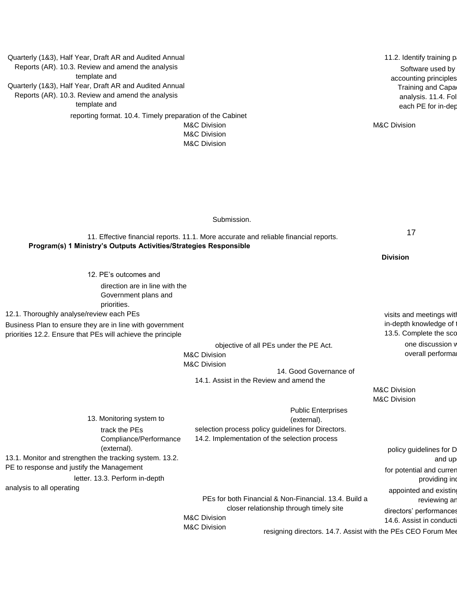| Quarterly (1&3), Half Year, Draft AR and Audited Annual           |                                                                                         | 11.2. Identify training p. |
|-------------------------------------------------------------------|-----------------------------------------------------------------------------------------|----------------------------|
| Reports (AR). 10.3. Review and amend the analysis                 |                                                                                         | Software used by           |
| template and                                                      |                                                                                         | accounting principles      |
| Quarterly (1&3), Half Year, Draft AR and Audited Annual           |                                                                                         | <b>Training and Capar</b>  |
| Reports (AR). 10.3. Review and amend the analysis                 |                                                                                         | analysis. 11.4. Fol        |
| template and                                                      |                                                                                         | each PE for in-dep         |
| reporting format. 10.4. Timely preparation of the Cabinet         |                                                                                         |                            |
|                                                                   | <b>M&amp;C Division</b>                                                                 | <b>M&amp;C Division</b>    |
|                                                                   | <b>M&amp;C Division</b><br><b>M&amp;C Division</b>                                      |                            |
|                                                                   |                                                                                         |                            |
|                                                                   |                                                                                         |                            |
|                                                                   |                                                                                         |                            |
|                                                                   |                                                                                         |                            |
|                                                                   |                                                                                         |                            |
|                                                                   |                                                                                         |                            |
|                                                                   |                                                                                         |                            |
|                                                                   | Submission.                                                                             |                            |
|                                                                   | 11. Effective financial reports. 11.1. More accurate and reliable financial reports.    | 17                         |
| Program(s) 1 Ministry's Outputs Activities/Strategies Responsible |                                                                                         |                            |
|                                                                   |                                                                                         | <b>Division</b>            |
|                                                                   |                                                                                         |                            |
| 12. PE's outcomes and                                             |                                                                                         |                            |
| direction are in line with the                                    |                                                                                         |                            |
| Government plans and                                              |                                                                                         |                            |
| priorities.                                                       |                                                                                         |                            |
| 12.1. Thoroughly analyse/review each PEs                          |                                                                                         | visits and meetings with   |
| Business Plan to ensure they are in line with government          |                                                                                         | in-depth knowledge of      |
| priorities 12.2. Ensure that PEs will achieve the principle       |                                                                                         | 13.5. Complete the sco     |
|                                                                   | objective of all PEs under the PE Act.                                                  | one discussion v           |
|                                                                   | <b>M&amp;C Division</b>                                                                 | overall performal          |
|                                                                   | <b>M&amp;C Division</b>                                                                 |                            |
|                                                                   | 14. Good Governance of<br>14.1. Assist in the Review and amend the                      |                            |
|                                                                   |                                                                                         | <b>M&amp;C Division</b>    |
|                                                                   |                                                                                         | <b>M&amp;C Division</b>    |
|                                                                   | <b>Public Enterprises</b>                                                               |                            |
| 13. Monitoring system to                                          | (external).                                                                             |                            |
| track the PEs                                                     | selection process policy guidelines for Directors.                                      |                            |
| Compliance/Performance                                            | 14.2. Implementation of the selection process                                           |                            |
| (external).                                                       |                                                                                         | policy guidelines for D    |
| 13.1. Monitor and strengthen the tracking system. 13.2.           |                                                                                         | and up                     |
| PE to response and justify the Management                         |                                                                                         | for potential and curren   |
| letter. 13.3. Perform in-depth                                    |                                                                                         | providing ind              |
| analysis to all operating                                         |                                                                                         | appointed and existing     |
|                                                                   | PEs for both Financial & Non-Financial. 13.4. Build a                                   | reviewing ar               |
|                                                                   | closer relationship through timely site                                                 | directors' performances    |
|                                                                   | <b>M&amp;C Division</b>                                                                 | 14.6. Assist in conducti   |
|                                                                   | <b>M&amp;C Division</b><br>resigning directors. 14.7. Assist with the PEs CEO Forum Mee |                            |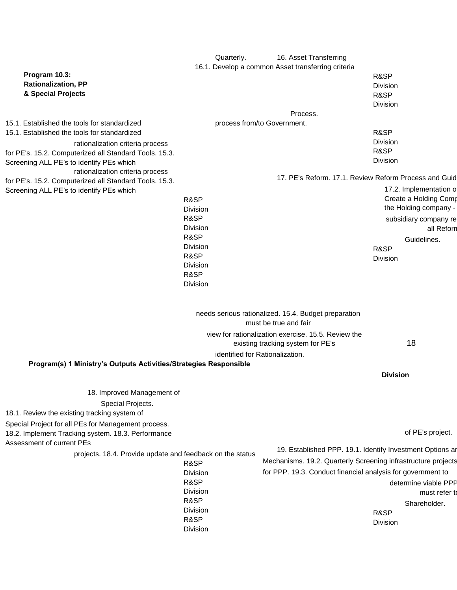|                                                                                                           | Quarterly.              | 16. Asset Transferring                                                                                                               |                                       |
|-----------------------------------------------------------------------------------------------------------|-------------------------|--------------------------------------------------------------------------------------------------------------------------------------|---------------------------------------|
|                                                                                                           |                         | 16.1. Develop a common Asset transferring criteria                                                                                   |                                       |
| Program 10.3:                                                                                             |                         |                                                                                                                                      | R&SP                                  |
| <b>Rationalization, PP</b><br>& Special Projects                                                          |                         |                                                                                                                                      | Division                              |
|                                                                                                           |                         |                                                                                                                                      | R&SP                                  |
|                                                                                                           |                         | Process.                                                                                                                             | Division                              |
| 15.1. Established the tools for standardized                                                              |                         | process from/to Government.                                                                                                          |                                       |
| 15.1. Established the tools for standardized                                                              |                         |                                                                                                                                      | R&SP                                  |
| rationalization criteria process                                                                          |                         |                                                                                                                                      | <b>Division</b>                       |
| for PE's. 15.2. Computerized all Standard Tools. 15.3.                                                    |                         |                                                                                                                                      | R&SP                                  |
| Screening ALL PE's to identify PEs which                                                                  |                         |                                                                                                                                      | Division                              |
| rationalization criteria process                                                                          |                         |                                                                                                                                      |                                       |
| for PE's. 15.2. Computerized all Standard Tools. 15.3.                                                    |                         | 17. PE's Reform. 17.1. Review Reform Process and Guid                                                                                |                                       |
| Screening ALL PE's to identify PEs which                                                                  |                         |                                                                                                                                      | 17.2. Implementation o                |
|                                                                                                           | R&SP                    |                                                                                                                                      | Create a Holding Comp                 |
|                                                                                                           | Division                |                                                                                                                                      | the Holding company -                 |
|                                                                                                           | R&SP                    |                                                                                                                                      | subsidiary company re                 |
|                                                                                                           | <b>Division</b><br>R&SP |                                                                                                                                      | all Reforn                            |
|                                                                                                           | <b>Division</b>         |                                                                                                                                      | Guidelines.                           |
|                                                                                                           | R&SP                    |                                                                                                                                      | R&SP                                  |
|                                                                                                           | Division                |                                                                                                                                      | Division                              |
|                                                                                                           | R&SP                    |                                                                                                                                      |                                       |
|                                                                                                           | Division                |                                                                                                                                      |                                       |
|                                                                                                           |                         | needs serious rationalized. 15.4. Budget preparation<br>must be true and fair<br>view for rationalization exercise. 15.5. Review the |                                       |
|                                                                                                           |                         | existing tracking system for PE's<br>identified for Rationalization.                                                                 | 18                                    |
| Program(s) 1 Ministry's Outputs Activities/Strategies Responsible                                         |                         |                                                                                                                                      |                                       |
|                                                                                                           |                         |                                                                                                                                      | <b>Division</b>                       |
|                                                                                                           |                         |                                                                                                                                      |                                       |
| 18. Improved Management of                                                                                |                         |                                                                                                                                      |                                       |
| Special Projects.                                                                                         |                         |                                                                                                                                      |                                       |
| 18.1. Review the existing tracking system of                                                              |                         |                                                                                                                                      |                                       |
| Special Project for all PEs for Management process.<br>18.2. Implement Tracking system. 18.3. Performance |                         |                                                                                                                                      | of PE's project.                      |
| Assessment of current PEs                                                                                 |                         | 19. Established PPP. 19.1. Identify Investment Options ar                                                                            |                                       |
| projects. 18.4. Provide update and feedback on the status                                                 |                         | Mechanisms. 19.2. Quarterly Screening infrastructure projects                                                                        |                                       |
|                                                                                                           | R&SP                    | for PPP. 19.3. Conduct financial analysis for government to                                                                          |                                       |
|                                                                                                           | Division<br>R&SP        |                                                                                                                                      |                                       |
|                                                                                                           | Division                |                                                                                                                                      | determine viable PPP<br>must refer to |
|                                                                                                           | R&SP                    |                                                                                                                                      | Shareholder.                          |
|                                                                                                           | Division                |                                                                                                                                      | R&SP                                  |
|                                                                                                           | R&SP                    |                                                                                                                                      | Division                              |
|                                                                                                           | Division                |                                                                                                                                      |                                       |
|                                                                                                           |                         |                                                                                                                                      |                                       |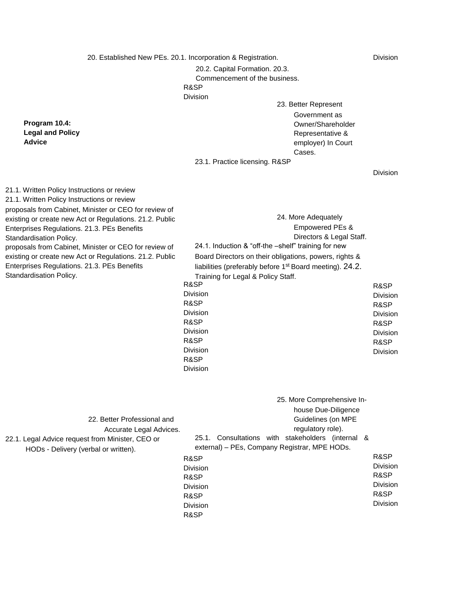20. Established New PEs. 20.1. Incorporation & Registration.

**Program 10.4: Legal and Policy** 

**Advice** 

Division

20.2. Capital Formation. 20.3. Commencement of the business. R&SP Division

23. Better Represent Government as Owner/Shareholder Representative & employer) In Court Cases.

23.1. Practice licensing. R&SP

Division

| 21.1. Written Policy Instructions or review<br>21.1. Written Policy Instructions or review<br>proposals from Cabinet, Minister or CEO for review of<br>existing or create new Act or Regulations. 21.2. Public<br>Enterprises Regulations. 21.3. PEs Benefits<br>Standardisation Policy.<br>proposals from Cabinet, Minister or CEO for review of<br>existing or create new Act or Regulations. 21.2. Public<br>Enterprises Regulations. 21.3. PEs Benefits<br>Standardisation Policy. | 24. More Adequately<br>Empowered PEs &<br>Directors & Legal Staff.<br>24.1. Induction & "off-the -shelf" training for new<br>Board Directors on their obligations, powers, rights &<br>liabilities (preferably before 1 <sup>st</sup> Board meeting). 24.2.<br>Training for Legal & Policy Staff.<br>R&SP<br><b>Division</b><br>R&SP<br><b>Division</b><br>R&SP<br><b>Division</b><br>R&SP<br><b>Division</b><br>R&SP<br>Division | R&SP<br><b>Division</b><br>R&SP<br><b>Division</b><br>R&SP<br><b>Division</b><br>R&SP<br>Division |
|----------------------------------------------------------------------------------------------------------------------------------------------------------------------------------------------------------------------------------------------------------------------------------------------------------------------------------------------------------------------------------------------------------------------------------------------------------------------------------------|-----------------------------------------------------------------------------------------------------------------------------------------------------------------------------------------------------------------------------------------------------------------------------------------------------------------------------------------------------------------------------------------------------------------------------------|---------------------------------------------------------------------------------------------------|
| 22. Better Professional and<br>Accurate Legal Advices.<br>22.1. Legal Advice request from Minister, CEO or<br>HODs - Delivery (verbal or written).                                                                                                                                                                                                                                                                                                                                     | 25. More Comprehensive In-<br>house Due-Diligence<br>Guidelines (on MPE<br>regulatory role).<br>25.1. Consultations with stakeholders (internal &<br>external) - PEs, Company Registrar, MPE HODs.<br>R&SP<br><b>Division</b><br>R&SP<br><b>Division</b><br>R&SP<br><b>Division</b><br>R&SP                                                                                                                                       | R&SP<br>Division<br>R&SP<br>Division<br>R&SP<br><b>Division</b>                                   |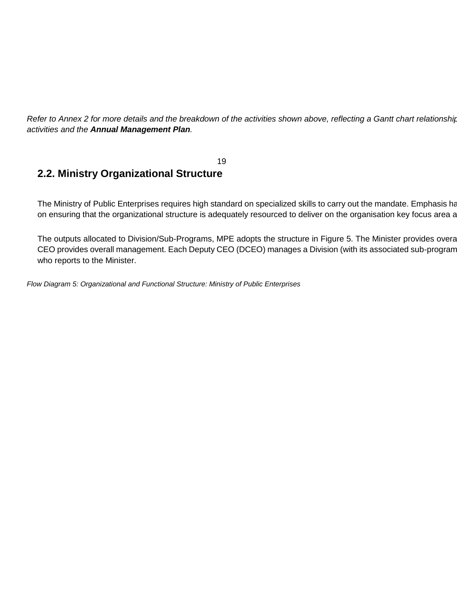*Refer to Annex 2 for more details and the breakdown of the activities shown above, reflecting a Gantt chart relationship activities and the Annual Management Plan.* 

#### 19 **2.2. Ministry Organizational Structure**

The Ministry of Public Enterprises requires high standard on specialized skills to carry out the mandate. Emphasis ha on ensuring that the organizational structure is adequately resourced to deliver on the organisation key focus area a

The outputs allocated to Division/Sub-Programs, MPE adopts the structure in Figure 5. The Minister provides overa CEO provides overall management. Each Deputy CEO (DCEO) manages a Division (with its associated sub-program who reports to the Minister.

*Flow Diagram 5: Organizational and Functional Structure: Ministry of Public Enterprises*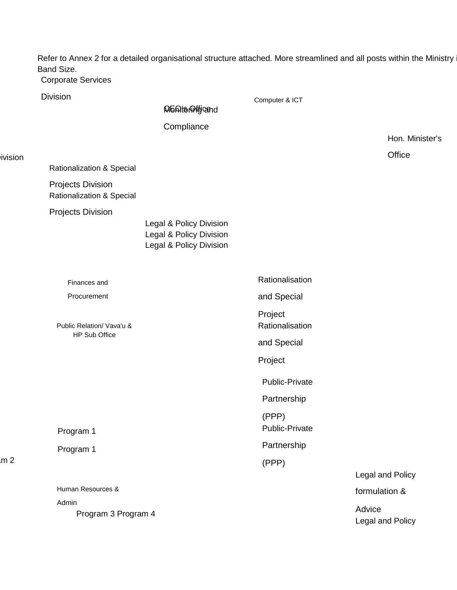Refer to Annex 2 for a detailed organisational structure attached. More streamlined and all posts within the Ministry Band Size.

Computer & ICT

Corporate Services

Division

livision

**M5ରା**toାଜୀ $t$ jcand

**Compliance** 

Hon. Minister's

**Office** 

Rationalization & Special

Projects Division Rationalization & Special

Projects Division

Legal & Policy Division Legal & Policy Division Legal & Policy Division

Finances and Procurement

Public Relation/ Vava'u & HP Sub Office

Program 1

Program 1

 $m<sub>2</sub>$ 

Human Resources & Admin Program 3 Program 4 **Rationalisation** and Special Project Rationalisation and Special Project Public-Private Partnership (PPP) Public-Private Partnership (PPP) Legal and Policy formulation & Advice

Legal and Policy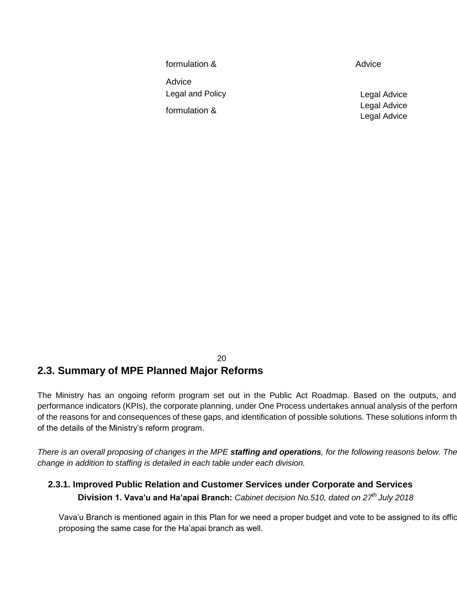formulation & Advice Legal and Policy formulation &

Advice

Legal Advice Legal Advice Legal Advice

#### 20 **2.3. Summary of MPE Planned Major Reforms**

The Ministry has an ongoing reform program set out in the Public Act Roadmap. Based on the outputs, and performance indicators (KPIs), the corporate planning, under One Process undertakes annual analysis of the perforn of the reasons for and consequences of these gaps, and identification of possible solutions. These solutions inform th of the details of the Ministry's reform program.

*There is an overall proposing of changes in the MPE staffing and operations, for the following reasons below. The change in addition to staffing is detailed in each table under each division.* 

### **2.3.1. Improved Public Relation and Customer Services under Corporate and Services Division 1. Vava'u and Ha'apai Branch:** *Cabinet decision No.510, dated on 27th July 2018*

Vava'u Branch is mentioned again in this Plan for we need a proper budget and vote to be assigned to its offic proposing the same case for the Ha'apai branch as well.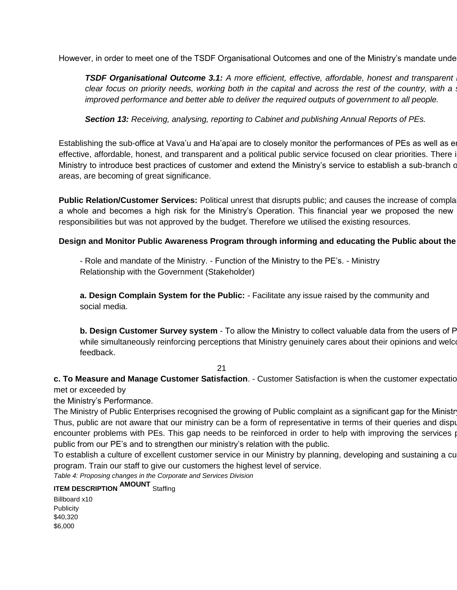However, in order to meet one of the TSDF Organisational Outcomes and one of the Ministry's mandate under

**TSDF Organisational Outcome 3.1:** A more efficient, effective, affordable, honest and transparent *clear focus on priority needs, working both in the capital and across the rest of the country, with a improved performance and better able to deliver the required outputs of government to all people.* 

*Section 13: Receiving, analysing, reporting to Cabinet and publishing Annual Reports of PEs.* 

Establishing the sub-office at Vava'u and Ha'apai are to closely monitor the performances of PEs as well as en effective, affordable, honest, and transparent and a political public service focused on clear priorities. There i Ministry to introduce best practices of customer and extend the Ministry's service to establish a sub-branch c areas, are becoming of great significance.

**Public Relation/Customer Services:** Political unrest that disrupts public; and causes the increase of complaints from the public as  $R$ a whole and becomes a high risk for the Ministry's Operation. This financial year we proposed the new responsibilities but was not approved by the budget. Therefore we utilised the existing resources.

#### **Design and Monitor Public Awareness Program through informing and educating the Public about the**

- Role and mandate of the Ministry. - Function of the Ministry to the PE's. - Ministry Relationship with the Government (Stakeholder)

**a. Design Complain System for the Public:** - Facilitate any issue raised by the community and social media.

**b. Design Customer Survey system** - To allow the Ministry to collect valuable data from the users of P while simultaneously reinforcing perceptions that Ministry genuinely cares about their opinions and welcomes their feedback.

21

**c. To Measure and Manage Customer Satisfaction. - Customer Satisfaction is when the customer expectations have been been as have been as**  $P$ met or exceeded by

the Ministry's Performance.

The Ministry of Public Enterprises recognised the growing of Public complaint as a significant gap for the Ministr Thus, public are not aware that our ministry can be a form of representative in terms of their queries and dispu encounter problems with PEs. This gap needs to be reinforced in order to help with improving the services provided to public from our PE's and to strengthen our ministry's relation with the public.

To establish a culture of excellent customer service in our Ministry by planning, developing and sustaining a cu program. Train our staff to give our customers the highest level of service.

*Table 4: Proposing changes in the Corporate and Services Division* 

**ITEM DESCRIPTION AMOUNT** Staffing

Billboard x10 **Publicity** \$40,320 \$6,000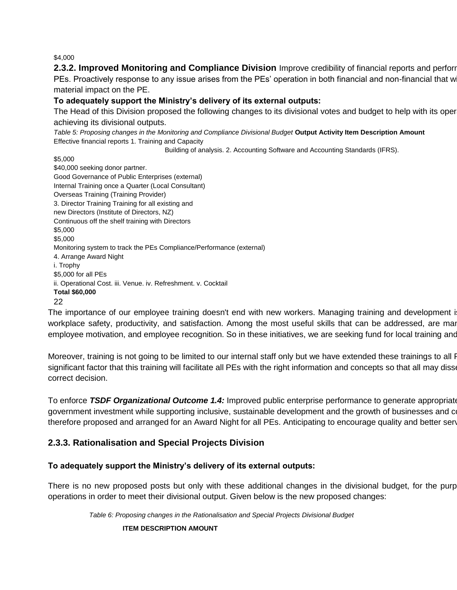\$4,000

**2.3.2. Improved Monitoring and Compliance Division** Improve credibility of financial reports and perforr PEs. Proactively response to any issue arises from the PEs' operation in both financial and non-financial that w material impact on the PE.

#### **To adequately support the Ministry's delivery of its external outputs:**

The Head of this Division proposed the following changes to its divisional votes and budget to help with its oper achieving its divisional outputs.

*Table 5: Proposing changes in the Monitoring and Compliance Divisional Budget* **Output Activity Item Description Amount**  Effective financial reports 1. Training and Capacity

Building of analysis. 2. Accounting Software and Accounting Standards (IFRS).

\$5,000 \$40,000 seeking donor partner. Good Governance of Public Enterprises (external) Internal Training once a Quarter (Local Consultant) Overseas Training (Training Provider) 3. Director Training Training for all existing and new Directors (Institute of Directors, NZ) Continuous off the shelf training with Directors \$5,000 \$5,000 Monitoring system to track the PEs Compliance/Performance (external) 4. Arrange Award Night i. Trophy \$5,000 for all PEs ii. Operational Cost. iii. Venue. iv. Refreshment. v. Cocktail **Total \$60,000**  22

The importance of our employee training doesn't end with new workers. Managing training and development is workplace safety, productivity, and satisfaction. Among the most useful skills that can be addressed, are mar employee motivation, and employee recognition. So in these initiatives, we are seeking fund for local training and

Moreover, training is not going to be limited to our internal staff only but we have extended these trainings to all F significant factor that this training will facilitate all PEs with the right information and concepts so that all may disse correct decision.

To enforce **TSDF Organizational Outcome 1.4:** Improved public enterprise performance to generate appropriate government investment while supporting inclusive, sustainable development and the growth of businesses and community therefore proposed and arranged for an Award Night for all PEs. Anticipating to encourage quality and better services

#### **2.3.3. Rationalisation and Special Projects Division**

#### **To adequately support the Ministry's delivery of its external outputs:**

There is no new proposed posts but only with these additional changes in the divisional budget, for the purp operations in order to meet their divisional output. Given below is the new proposed changes:

*Table 6: Proposing changes in the Rationalisation and Special Projects Divisional Budget* 

**ITEM DESCRIPTION AMOUNT**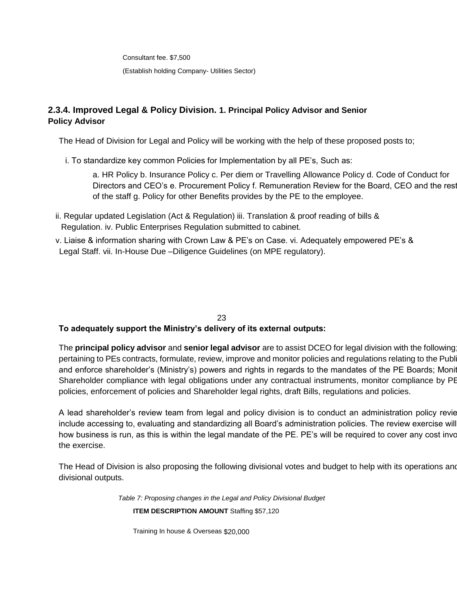Consultant fee. \$7,500 (Establish holding Company- Utilities Sector)

### **2.3.4. Improved Legal & Policy Division. 1. Principal Policy Advisor and Senior Policy Advisor**

The Head of Division for Legal and Policy will be working with the help of these proposed posts to;

i. To standardize key common Policies for Implementation by all PE's, Such as:

a. HR Policy b. Insurance Policy c. Per diem or Travelling Allowance Policy d. Code of Conduct for Directors and CEO's e. Procurement Policy f. Remuneration Review for the Board, CEO and the rest of the staff g. Policy for other Benefits provides by the PE to the employee.

- ii. Regular updated Legislation (Act & Regulation) iii. Translation & proof reading of bills & Regulation. iv. Public Enterprises Regulation submitted to cabinet.
- v. Liaise & information sharing with Crown Law & PE's on Case. vi. Adequately empowered PE's & Legal Staff. vii. In-House Due –Diligence Guidelines (on MPE regulatory).

#### 23

#### **To adequately support the Ministry's delivery of its external outputs:**

The **principal policy advisor** and **senior legal advisor** are to assist DCEO for legal division with the following pertaining to PEs contracts, formulate, review, improve and monitor policies and regulations relating to the Publ and enforce shareholder's (Ministry's) powers and rights in regards to the mandates of the PE Boards; Monitor Shareholder compliance with legal obligations under any contractual instruments, monitor compliance by PE policies, enforcement of policies and Shareholder legal rights, draft Bills, regulations and policies.

A lead shareholder's review team from legal and policy division is to conduct an administration policy review include accessing to, evaluating and standardizing all Board's administration policies. The review exercise will how business is run, as this is within the legal mandate of the PE. PE's will be required to cover any cost invo the exercise.

The Head of Division is also proposing the following divisional votes and budget to help with its operations and divisional outputs.

*Table 7: Proposing changes in the Legal and Policy Divisional Budget* 

**ITEM DESCRIPTION AMOUNT** Staffing \$57,120

Training In house & Overseas \$20,000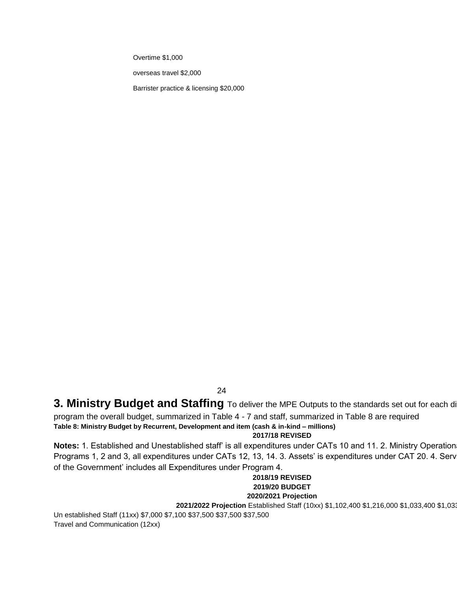Overtime \$1,000

overseas travel \$2,000

Barrister practice & licensing \$20,000

24

### **3. Ministry Budget and Staffing** To deliver the MPE Outputs to the standards set out for each di

program the overall budget, summarized in Table 4 - 7 and staff, summarized in Table 8 are required

### **Table 8: Ministry Budget by Recurrent, Development and item (cash & in-kind – millions)**

#### **2017/18 REVISED**

Notes: 1. Established and Unestablished staff' is all expenditures under CATs 10 and 11. 2. Ministry Operation Programs 1, 2 and 3, all expenditures under CATs 12, 13, 14. 3. Assets' is expenditures under CAT 20. 4. Serv of the Government' includes all Expenditures under Program 4.

#### **2018/19 REVISED 2019/20 BUDGET 2020/2021 Projection**

**2021/2022 Projection** Established Staff (10xx) \$1,102,400 \$1,216,000 \$1,033,400 \$1,033,400 \$1,033,400

Un established Staff (11xx) \$7,000 \$7,100 \$37,500 \$37,500 \$37,500 Travel and Communication (12xx)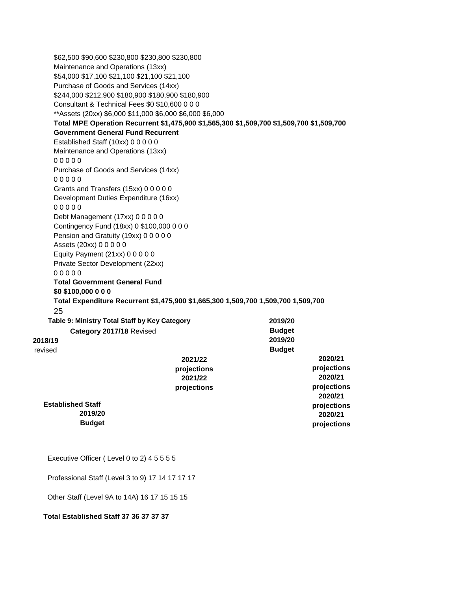\$62,500 \$90,600 \$230,800 \$230,800 \$230,800 Maintenance and Operations (13xx) \$54,000 \$17,100 \$21,100 \$21,100 \$21,100 Purchase of Goods and Services (14xx) \$244,000 \$212,900 \$180,900 \$180,900 \$180,900 Consultant & Technical Fees \$0 \$10,600 0 0 0 \*\*Assets (20xx) \$6,000 \$11,000 \$6,000 \$6,000 \$6,000 **Total MPE Operation Recurrent \$1,475,900 \$1,565,300 \$1,509,700 \$1,509,700 \$1,509,700 Government General Fund Recurrent**  Established Staff (10xx) 0 0 0 0 0 Maintenance and Operations (13xx) 0 0 0 0 0 Purchase of Goods and Services (14xx) 0 0 0 0 0 Grants and Transfers (15xx) 0 0 0 0 0 Development Duties Expenditure (16xx) 0 0 0 0 0 Debt Management (17xx) 0 0 0 0 0 Contingency Fund (18xx) 0 \$100,000 0 0 0 Pension and Gratuity (19xx) 0 0 0 0 0 Assets (20xx) 0 0 0 0 0 Equity Payment (21xx) 0 0 0 0 0 Private Sector Development (22xx) 0 0 0 0 0 **Total Government General Fund \$0 \$100,000 0 0 0 Total Expenditure Recurrent \$1,475,900 \$1,665,300 1,509,700 1,509,700 1,509,700**  25 **Table 9: Ministry Total Staff by Key Category Category 2017/18** Revised **2018/19**  revised **2021/22 projections 2021/22 projections Established Staff 2019/20 Budget 2019/20 Budget 2019/20 Budget 2020/21 projections 2020/21 projections 2020/21 projections 2020/21 projections**  Executive Officer ( Level 0 to 2) 4 5 5 5 5 Professional Staff (Level 3 to 9) 17 14 17 17 17 Other Staff (Level 9A to 14A) 16 17 15 15 15

#### **Total Established Staff 37 36 37 37 37**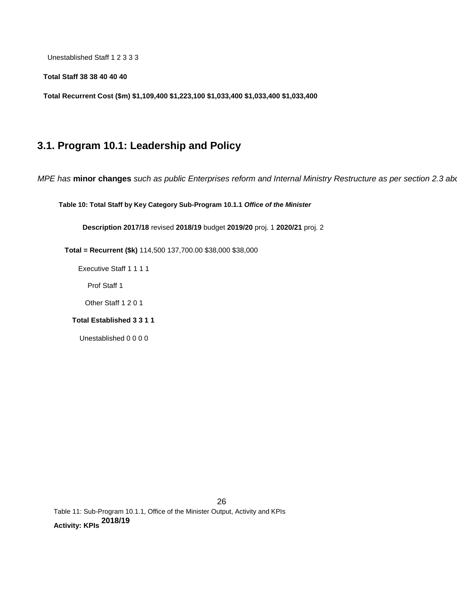Unestablished Staff 1 2 3 3 3

**Total Staff 38 38 40 40 40** 

**Total Recurrent Cost (\$m) \$1,109,400 \$1,223,100 \$1,033,400 \$1,033,400 \$1,033,400** 

## **3.1. Program 10.1: Leadership and Policy**

*MPE has* **minor changes** *such as public Enterprises reform and Internal Ministry Restructure as per section 2.3 above.* 

**Table 10: Total Staff by Key Category Sub-Program 10.1.1** *Office of the Minister* 

**Description 2017/18** revised **2018/19** budget **2019/20** proj. 1 **2020/21** proj. 2

**Total = Recurrent (\$k)** 114,500 137,700.00 \$38,000 \$38,000

Executive Staff 1 1 1 1

Prof Staff 1

Other Staff 1 2 0 1

#### **Total Established 3 3 1 1**

Unestablished 0 0 0 0

26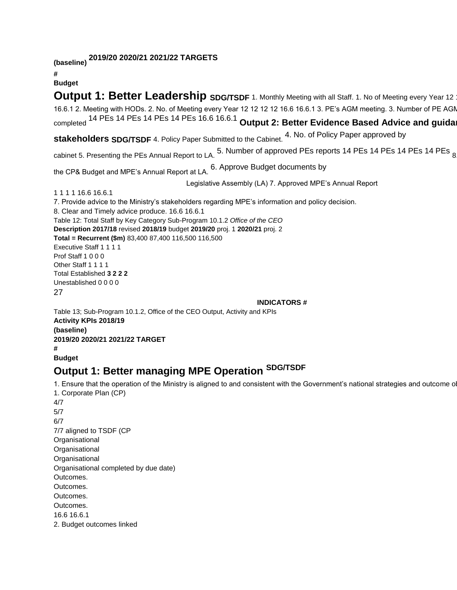**(baseline) 2019/20 2020/21 2021/22 TARGETS** 

**#** 

**Budget** 

**Output 1: Better Leadership SDG/TSDF** 1. Monthly Meeting with all Staff. 1. No of Meeting every Year 12 16.6.1 2. Meeting with HODs. 2. No. of Meeting every Year 12 12 12 12 16.6 16.6.1 3. PE's AGM meeting. 3. Number of PE AGM meeting completed <sup>14 PEs 14 PEs 14 PEs 14 PEs 16.6 16.6.1</sup> Output 2: Better Evidence Based Advice and guida

**stakeholders SDG/TSDF** 4. Policy Paper Submitted to the Cabinet. 4. No. of Policy Paper approved by

cabinet 5. Presenting the PEs Annual Report to LA. 5. Number of approved PEs reports 14 PEs 14 PEs 14 PEs 14 PEs <sub>8</sub>

the CP& Budget and MPE's Annual Report at LA. 6. Approve Budget documents by

Legislative Assembly (LA) 7. Approved MPE's Annual Report

1 1 1 1 16.6 16.6.1

7. Provide advice to the Ministry's stakeholders regarding MPE's information and policy decision. 8. Clear and Timely advice produce. 16.6 16.6.1 Table 12: Total Staff by Key Category Sub-Program 10.1.2 *Office of the CEO*  **Description 2017/18** revised **2018/19** budget **2019/20** proj. 1 **2020/21** proj. 2 **Total = Recurrent (\$m)** 83,400 87,400 116,500 116,500 Executive Staff 1 1 1 1 Prof Staff 1 0 0 0 Other Staff 1 1 1 1 Total Established **3 2 2 2**  Unestablished 0 0 0 0 27 **INDICATORS #** 

Table 13; Sub-Program 10.1.2, Office of the CEO Output, Activity and KPIs **Activity KPIs 2018/19 (baseline) 2019/20 2020/21 2021/22 TARGET # Budget** 

## **Output 1: Better managing MPE Operation SDG/TSDF**

1. Ensure that the operation of the Ministry is aligned to and consistent with the Government's national strategies and outcome of 1. Corporate Plan (CP) 4/7 5/7 6/7 7/7 aligned to TSDF (CP **Organisational Organisational Organisational** Organisational completed by due date) Outcomes. Outcomes. Outcomes. Outcomes. 16.6 16.6.1 2. Budget outcomes linked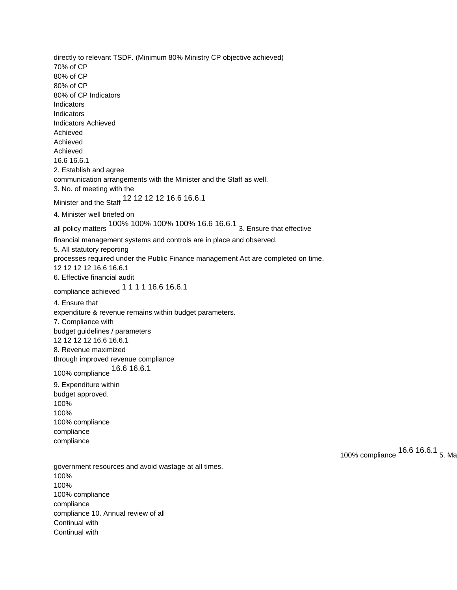directly to relevant TSDF. (Minimum 80% Ministry CP objective achieved) 70% of CP 80% of CP 80% of CP 80% of CP Indicators **Indicators Indicators** Indicators Achieved Achieved Achieved Achieved 16.6 16.6.1 2. Establish and agree communication arrangements with the Minister and the Staff as well. 3. No. of meeting with the Minister and the Staff 12 12 12 12 16.6 16.6.1 4. Minister well briefed on all policy matters 100% 100% 100% 100% 16.6 16.6.1 3. Ensure that effective financial management systems and controls are in place and observed. 5. All statutory reporting processes required under the Public Finance management Act are completed on time. 12 12 12 12 16.6 16.6.1 6. Effective financial audit compliance achieved 1 1 1 1 16.6 16.6.1 4. Ensure that expenditure & revenue remains within budget parameters. 7. Compliance with budget guidelines / parameters 12 12 12 12 16.6 16.6.1 8. Revenue maximized through improved revenue compliance 100% compliance 16.6 16.6.1 9. Expenditure within budget approved. 100% 100% 100% compliance compliance compliance 100% compliance 16.6 16.6.1 5. Ma government resources and avoid wastage at all times. 100% 100% 100% compliance compliance compliance 10. Annual review of all

Continual with Continual with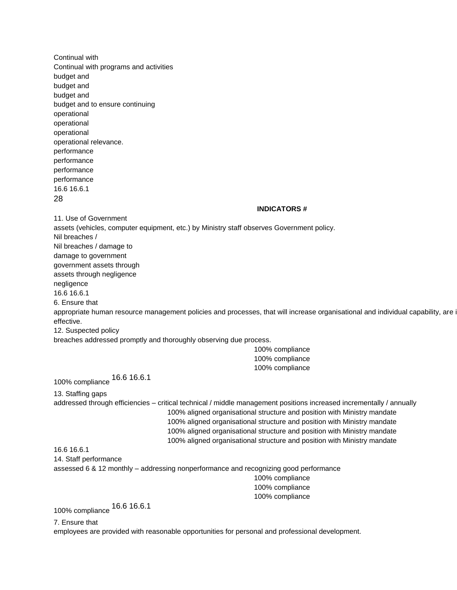Continual with Continual with programs and activities budget and budget and budget and budget and to ensure continuing operational operational operational operational relevance. performance performance performance performance 16.6 16.6.1 28 **INDICATORS #**  11. Use of Government assets (vehicles, computer equipment, etc.) by Ministry staff observes Government policy. Nil breaches / Nil breaches / damage to damage to government government assets through assets through negligence negligence 16.6 16.6.1 6. Ensure that appropriate human resource management policies and processes, that will increase organisational and individual capability, are i effective. 12. Suspected policy breaches addressed promptly and thoroughly observing due process. 100% compliance 100% compliance 100% compliance 100% compliance 16.6 16.6.1 13. Staffing gaps addressed through efficiencies – critical technical / middle management positions increased incrementally / annually 100% aligned organisational structure and position with Ministry mandate 100% aligned organisational structure and position with Ministry mandate 100% aligned organisational structure and position with Ministry mandate 100% aligned organisational structure and position with Ministry mandate 16.6 16.6.1 14. Staff performance assessed 6 & 12 monthly – addressing nonperformance and recognizing good performance 100% compliance 100% compliance 100% compliance 100% compliance 16.6 16.6.1 7. Ensure that

employees are provided with reasonable opportunities for personal and professional development.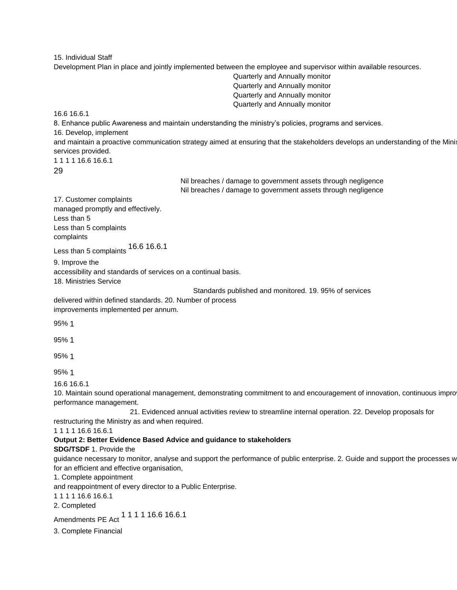15. Individual Staff

Development Plan in place and jointly implemented between the employee and supervisor within available resources.

Quarterly and Annually monitor Quarterly and Annually monitor Quarterly and Annually monitor Quarterly and Annually monitor

16.6 16.6.1

8. Enhance public Awareness and maintain understanding the ministry's policies, programs and services.

16. Develop, implement

and maintain a proactive communication strategy aimed at ensuring that the stakeholders develops an understanding of the Mini services provided.

1 1 1 1 16.6 16.6.1

29

Nil breaches / damage to government assets through negligence Nil breaches / damage to government assets through negligence

17. Customer complaints managed promptly and effectively. Less than 5 Less than 5 complaints complaints

Less than 5 complaints 16.6 16.6.1

9. Improve the accessibility and standards of services on a continual basis. 18. Ministries Service

Standards published and monitored. 19. 95% of services

delivered within defined standards. 20. Number of process improvements implemented per annum.

95% 1

95% 1

95% 1

95% 1

16.6 16.6.1

10. Maintain sound operational management, demonstrating commitment to and encouragement of innovation, continuous impro performance management.

21. Evidenced annual activities review to streamline internal operation. 22. Develop proposals for restructuring the Ministry as and when required.

1 1 1 1 16.6 16.6.1

#### **Output 2: Better Evidence Based Advice and guidance to stakeholders**

**SDG/TSDF** 1. Provide the

guidance necessary to monitor, analyse and support the performance of public enterprise. 2. Guide and support the processes w for an efficient and effective organisation,

1. Complete appointment

and reappointment of every director to a Public Enterprise.

1 1 1 1 16.6 16.6.1

2. Completed

Amendments PE Act <sup>1</sup> 1 1 1 1 1 6.6 1 6.6.1

3. Complete Financial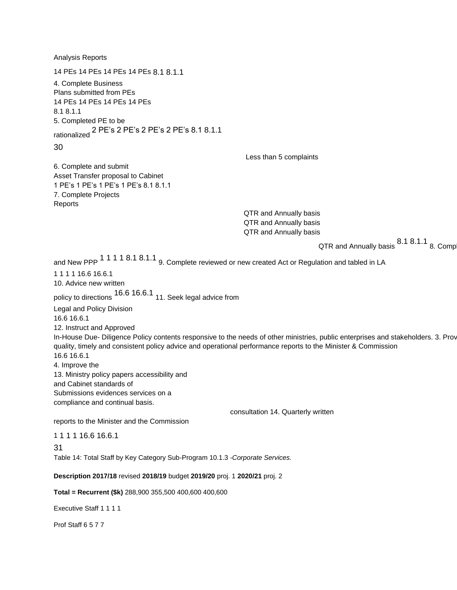Analysis Reports 14 PEs 14 PEs 14 PEs 14 PEs 8.1 8.1.1 4. Complete Business Plans submitted from PEs 14 PEs 14 PEs 14 PEs 14 PEs 8.1 8.1.1 5. Completed PE to be rationalized 2 PE's 2 PE's 2 PE's 2 PE's 8.1 8.1.1 30 Less than 5 complaints 6. Complete and submit Asset Transfer proposal to Cabinet 1 PE's 1 PE's 1 PE's 1 PE's 8.1 8.1.1 7. Complete Projects Reports QTR and Annually basis QTR and Annually basis QTR and Annually basis QTR and Annually basis  $8.1 8.1.1$  8. Comp and New PPP <sup>1</sup> <sup>1</sup> 1 <sup>1</sup> 8.1 <sup>8</sup>.1.1 <sub>9</sub>. Complete reviewed or new created Act or Regulation and tabled in LA 1 1 1 1 16.6 16.6.1 10. Advice new written policy to directions 16.6 16.6.1 11. Seek legal advice from Legal and Policy Division 16.6 16.6.1 12. Instruct and Approved In-House Due- Diligence Policy contents responsive to the needs of other ministries, public enterprises and stakeholders. 3. Prov quality, timely and consistent policy advice and operational performance reports to the Minister & Commission 16.6 16.6.1 4. Improve the 13. Ministry policy papers accessibility and and Cabinet standards of Submissions evidences services on a compliance and continual basis. consultation 14. Quarterly written reports to the Minister and the Commission 1 1 1 1 16.6 16.6.1 31 Table 14: Total Staff by Key Category Sub-Program 10.1.3 *-Corporate Services.*  **Description 2017/18** revised **2018/19** budget **2019/20** proj. 1 **2020/21** proj. 2 **Total = Recurrent (\$k)** 288,900 355,500 400,600 400,600

Executive Staff 1 1 1 1

Prof Staff 6 5 7 7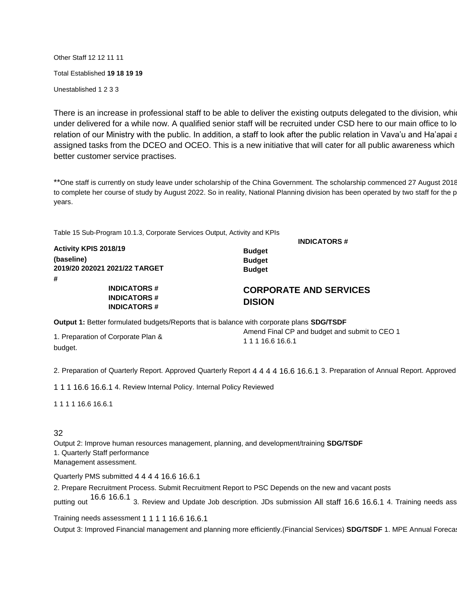Other Staff 12 12 11 11 Total Established **19 18 19 19**  Unestablished 1 2 3 3

There is an increase in professional staff to be able to deliver the existing outputs delegated to the division, which under delivered for a while now. A qualified senior staff will be recruited under CSD here to our main office to lo relation of our Ministry with the public. In addition, a staff to look after the public relation in Vava'u and Ha'apai a assigned tasks from the DCEO and OCEO. This is a new initiative that will cater for all public awareness which better customer service practises.

\*\*One staff is currently on study leave under scholarship of the China Government. The scholarship commenced 27 August 2018 to complete her course of study by August 2022. So in reality, National Planning division has been operated by two staff for the p years.

Table 15 Sub-Program 10.1.3, Corporate Services Output, Activity and KPIs

**INDICATORS #** 

| Activity KPIS 2018/19                                               | <b>Budget</b>                                  |
|---------------------------------------------------------------------|------------------------------------------------|
| (baseline)<br>2019/20 202021 2021/22 TARGET                         | <b>Budget</b><br><b>Budget</b>                 |
| #<br><b>INDICATORS#</b><br><b>INDICATORS#</b><br><b>INDICATORS#</b> | <b>CORPORATE AND SERVICES</b><br><b>DISION</b> |

**Output 1:** Better formulated budgets/Reports that is balance with corporate plans **SDG/TSDF** 

1. Preparation of Corporate Plan & budget.

Amend Final CP and budget and submit to CEO 1 1 1 1 16.6 16.6.1

2. Preparation of Quarterly Report. Approved Quarterly Report 4 4 4 4 16.6 16.6.1 3. Preparation of Annual Report. Approved

1 1 1 16.6 16.6.1 4. Review Internal Policy. Internal Policy Reviewed

1 1 1 1 16.6 16.6.1

#### 32

Output 2: Improve human resources management, planning, and development/training **SDG/TSDF**  1. Quarterly Staff performance Management assessment.

Quarterly PMS submitted 4 4 4 4 16.6 16.6.1

2. Prepare Recruitment Process. Submit Recruitment Report to PSC Depends on the new and vacant posts putting out <sup>16.6</sup> 16.6.1 3. Review and Update Job description. JDs submission All staff 16.6 16.6.1 4. Training needs ass

Training needs assessment 1 1 1 1 16.6 16.6.1

Output 3: Improved Financial management and planning more efficiently.(Financial Services) SDG/TSDF 1. MPE Annual Foreca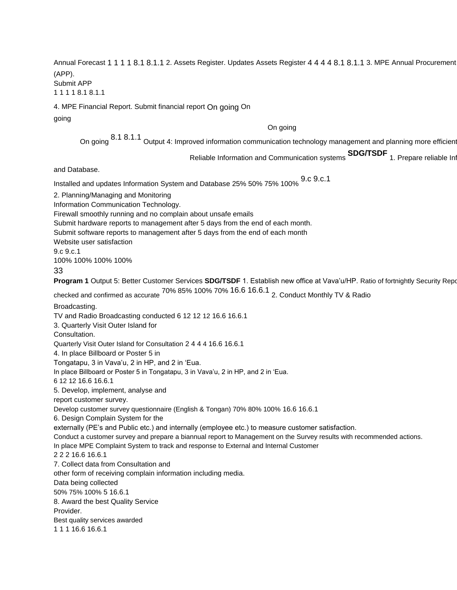Annual Forecast 1 1 1 1 8.1 8.1.1 2. Assets Register. Updates Assets Register 4 4 4 4 8.1 8.1.1 3. MPE Annual Procurement (APP). Submit APP

1 1 1 1 8.1 8.1.1

4. MPE Financial Report. Submit financial report On going On

going

On going

On going 8.1 8.1.1 Output 4: Improved information communication technology management and planning more efficient

Reliable Information and Communication systems **SDG/TSDF** 1. Prepare reliable Information and Communication systems

and Database.

Installed and updates Information System and Database 25% 50% 75% 100% 9.c 9.c.1

2. Planning/Managing and Monitoring

Information Communication Technology.

Firewall smoothly running and no complain about unsafe emails

Submit hardware reports to management after 5 days from the end of each month.

Submit software reports to management after 5 days from the end of each month

Website user satisfaction

9.c 9.c.1

100% 100% 100% 100%

33

**Program 1** Output 5: Better Customer Services **SDG/TSDF** 1. Establish new office at Vava'u/HP. Ratio of fortnightly Security Repo checked and confirmed as accurate 70% 85% 100% 70% 16.6 16.6.1 2. Conduct Monthly TV & Radio

Broadcasting.

TV and Radio Broadcasting conducted 6 12 12 12 16.6 16.6.1

3. Quarterly Visit Outer Island for

Consultation.

Quarterly Visit Outer Island for Consultation 2 4 4 4 16.6 16.6.1

4. In place Billboard or Poster 5 in

Tongatapu, 3 in Vava'u, 2 in HP, and 2 in 'Eua.

In place Billboard or Poster 5 in Tongatapu, 3 in Vava'u, 2 in HP, and 2 in 'Eua.

6 12 12 16.6 16.6.1

5. Develop, implement, analyse and

report customer survey.

Develop customer survey questionnaire (English & Tongan) 70% 80% 100% 16.6 16.6.1

6. Design Complain System for the

externally (PE's and Public etc.) and internally (employee etc.) to measure customer satisfaction.

Conduct a customer survey and prepare a biannual report to Management on the Survey results with recommended actions.

In place MPE Complaint System to track and response to External and Internal Customer

2 2 2 16.6 16.6.1

7. Collect data from Consultation and

other form of receiving complain information including media.

Data being collected

50% 75% 100% 5 16.6.1

8. Award the best Quality Service

Provider.

Best quality services awarded

1 1 1 16.6 16.6.1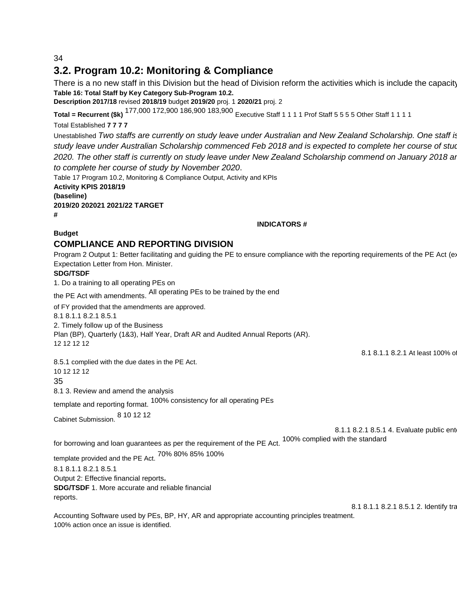34

## **3.2. Program 10.2: Monitoring & Compliance**

There is a no new staff in this Division but the head of Division reform the activities which is include the capacity **Table 16: Total Staff by Key Category Sub-Program 10.2.** 

**Description 2017/18** revised **2018/19** budget **2019/20** proj. 1 **2020/21** proj. 2

**Total = Recurrent (\$k)** 177,000 172,900 186,900 183,900 Executive Staff 1 1 1 1 Prof Staff 5 5 5 5 Other Staff 1 1 1 1

Total Established **7 7 7 7** 

Unestablished *Two staffs are currently on study leave under Australian and New Zealand Scholarship. One staff is current on study leave under Australian Scholarship commenced Feb 2018 and is expected to complete her course of study by February 2020. The other staff is currently on study leave under New Zealand Scholarship commend on January 2018 and is expected to complete her course of study by November 2020*.

Table 17 Program 10.2, Monitoring & Compliance Output, Activity and KPIs

**Activity KPIS 2018/19 (baseline)** 

**2019/20 202021 2021/22 TARGET** 

**#** 

#### **INDICATORS #**

**Budget** 

#### **COMPLIANCE AND REPORTING DIVISION**

Program 2 Output 1: Better facilitating and guiding the PE to ensure compliance with the reporting requirements of the PE Act (ex Expectation Letter from Hon. Minister.

#### **SDG/TSDF**

1. Do a training to all operating PEs on

the PE Act with amendments. All operating PEs to be trained by the end

of FY provided that the amendments are approved.

8.1 8.1.1 8.2.1 8.5.1

2. Timely follow up of the Business

Plan (BP), Quarterly (1&3), Half Year, Draft AR and Audited Annual Reports (AR).

12 12 12 12

8.1 8.1.1 8.2.1 At least 100% of

8.5.1 complied with the due dates in the PE Act. 10 12 12 12

35

8.1 3. Review and amend the analysis

template and reporting format. 100% consistency for all operating PEs

Cabinet Submission. 8 10 12 12

8.1.1 8.2.1 8.5.1 4. Evaluate public ent

for borrowing and loan guarantees as per the requirement of the PE Act. 100% complied with the standard

template provided and the PE Act. 70% 80% 85% 100%

8.1 8.1.1 8.2.1 8.5.1 Output 2: Effective financial reports**. SDG/TSDF** 1. More accurate and reliable financial

reports.

8.1 8.1.1 8.2.1 8.5.1 2. Identify training

Accounting Software used by PEs, BP, HY, AR and appropriate accounting principles treatment. 100% action once an issue is identified.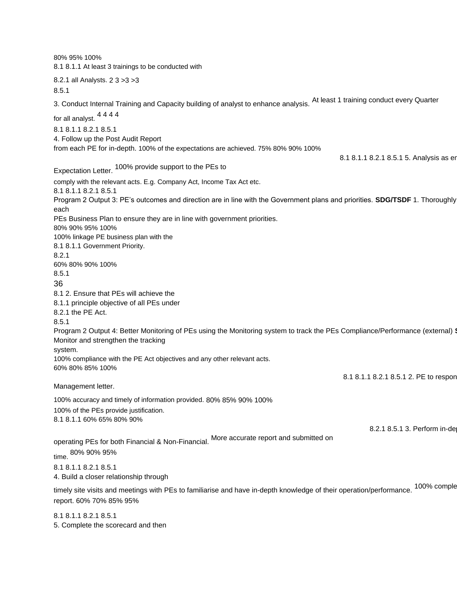80% 95% 100% 8.1 8.1.1 At least 3 trainings to be conducted with 8.2.1 all Analysts. 2 3 >3 >3 8.5.1 3. Conduct Internal Training and Capacity building of analyst to enhance analysis. At least 1 training conduct every Quarter for all analyst. 4 4 4 4 8.1 8.1.1 8.2.1 8.5.1 4. Follow up the Post Audit Report from each PE for in-depth. 100% of the expectations are achieved. 75% 80% 90% 100% 8.1 8.1.1 8.2.1 8.5.1 5. Analysis as er Expectation Letter. 100% provide support to the PEs to comply with the relevant acts. E.g. Company Act, Income Tax Act etc. 8.1 8.1.1 8.2.1 8.5.1 Program 2 Output 3: PE's outcomes and direction are in line with the Government plans and priorities. **SDG/TSDF** 1. Thoroughly each PEs Business Plan to ensure they are in line with government priorities. 80% 90% 95% 100% 100% linkage PE business plan with the 8.1 8.1.1 Government Priority. 8.2.1 60% 80% 90% 100% 8.5.1 36 8.1 2. Ensure that PEs will achieve the 8.1.1 principle objective of all PEs under 8.2.1 the PE Act. 8.5.1 Program 2 Output 4: Better Monitoring of PEs using the Monitoring system to track the PEs Compliance/Performance (external) **3** Monitor and strengthen the tracking system. 100% compliance with the PE Act objectives and any other relevant acts. 60% 80% 85% 100% 8.1 8.1.1 8.2.1 8.5.1 2. PE to respon Management letter. 100% accuracy and timely of information provided. 80% 85% 90% 100% 100% of the PEs provide justification. 8.1 8.1.1 60% 65% 80% 90% 8.2.1 8.5.1 3. Perform in-de operating PEs for both Financial & Non-Financial. More accurate report and submitted on time. 80% 90% 95% 8.1 8.1.1 8.2.1 8.5.1 4. Build a closer relationship through timely site visits and meetings with PEs to familiarise and have in-depth knowledge of their operation/performance. 100% comple report. 60% 70% 85% 95% 8.1 8.1.1 8.2.1 8.5.1

5. Complete the scorecard and then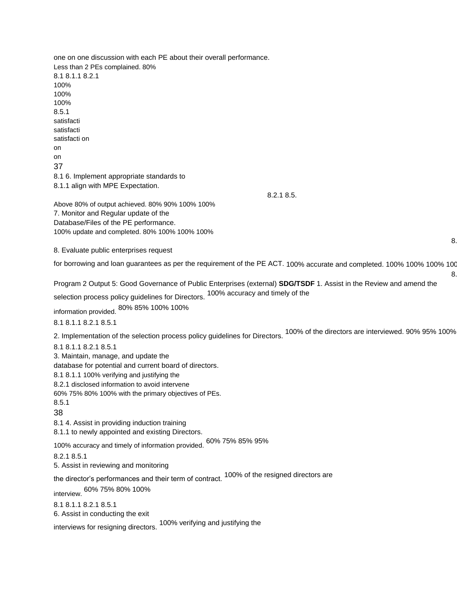one on one discussion with each PE about their overall performance. Less than 2 PEs complained. 80% 8.1 8.1.1 8.2.1 100% 100% 100% 8.5.1 satisfacti satisfacti satisfacti on on on 37 8.1 6. Implement appropriate standards to 8.1.1 align with MPE Expectation. 8.2.1 8.5. Above 80% of output achieved. 80% 90% 100% 100% 7. Monitor and Regular update of the Database/Files of the PE performance. 100% update and completed. 80% 100% 100% 100% 8. Evaluate public enterprises request for borrowing and loan guarantees as per the requirement of the PE ACT. 100% accurate and completed. 100% 100% 100% 100%

Program 2 Output 5: Good Governance of Public Enterprises (external) **SDG/TSDF** 1. Assist in the Review and amend the selection process policy guidelines for Directors. 100% accuracy and timely of the

8.

8.

information provided. 80% 85% 100% 100%

8.1 8.1.1 8.2.1 8.5.1

2. Implementation of the selection process policy guidelines for Directors. 100% of the directors are interviewed. 90% 95% 100% 100%

8.1 8.1.1 8.2.1 8.5.1

3. Maintain, manage, and update the

database for potential and current board of directors.

8.1 8.1.1 100% verifying and justifying the

8.2.1 disclosed information to avoid intervene

60% 75% 80% 100% with the primary objectives of PEs.

### 8.5.1

38

8.1 4. Assist in providing induction training

8.1.1 to newly appointed and existing Directors.

100% accuracy and timely of information provided. 60% 75% 85% 95%

8.2.1 8.5.1

5. Assist in reviewing and monitoring

the director's performances and their term of contract. 100% of the resigned directors are

interview. 60% 75% 80% 100%

8.1 8.1.1 8.2.1 8.5.1 6. Assist in conducting the exit

interviews for resigning directors. 100% verifying and justifying the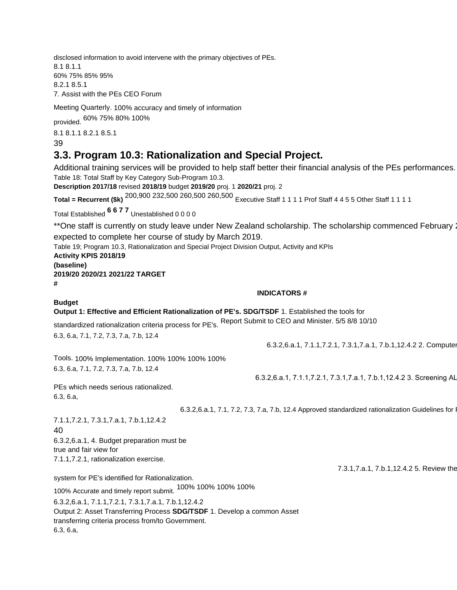disclosed information to avoid intervene with the primary objectives of PEs. 8.1 8.1.1 60% 75% 85% 95% 8.2.1 8.5.1 7. Assist with the PEs CEO Forum

Meeting Quarterly. 100% accuracy and timely of information

provided. 60% 75% 80% 100%

8.1 8.1.1 8.2.1 8.5.1 39

## **3.3. Program 10.3: Rationalization and Special Project.**

Additional training services will be provided to help staff better their financial analysis of the PEs performances. Table 18: Total Staff by Key Category Sub-Program 10.3.

**Description 2017/18** revised **2018/19** budget **2019/20** proj. 1 **2020/21** proj. 2

**Total = Recurrent (\$k)** 200,900 232,500 260,500 260,500 Executive Staff 1 1 1 1 Prof Staff 4 4 5 5 Other Staff 1 1 1 1

Total Established **6 6 7 7** Unestablished 0 0 0 0

\*\*One staff is currently on study leave under New Zealand scholarship. The scholarship commenced February 2018 expected to complete her course of study by March 2019.

Table 19; Program 10.3, Rationalization and Special Project Division Output, Activity and KPIs

#### **Activity KPIS 2018/19 (baseline) 2019/20 2020/21 2021/22 TARGET**

**#** 

**Budget** 

#### **INDICATORS #**

#### **Output 1: Effective and Efficient Rationalization of PE's. SDG/TSDF** 1. Established the tools for

standardized rationalization criteria process for PE's. Report Submit to CEO and Minister. 5/5 8/8 10/10

6.3, 6.a, 7.1, 7.2, 7.3, 7.a, 7.b, 12.4

6.3.2,6.a.1, 7.1.1,7.2.1, 7.3.1,7.a.1, 7.b.1,12.4.2 2. Computer

6.3.2,6.a.1, 7.1.1,7.2.1, 7.3.1,7.a.1, 7.b.1,12.4.2 3. Screening AL

Tools. 100% Implementation. 100% 100% 100% 100% 6.3, 6.a, 7.1, 7.2, 7.3, 7.a, 7.b, 12.4

PEs which needs serious rationalized. 6.3, 6.a,

6.3.2,6.a.1, 7.1, 7.2, 7.3, 7.a, 7.b, 12.4 Approved standardized rationalization Guidelines for I

7.1.1,7.2.1, 7.3.1,7.a.1, 7.b.1,12.4.2 40

6.3.2,6.a.1, 4. Budget preparation must be true and fair view for 7.1.1,7.2.1, rationalization exercise.

system for PE's identified for Rationalization.

100% Accurate and timely report submit. 100% 100% 100% 100%

6.3.2,6.a.1, 7.1.1,7.2.1, 7.3.1,7.a.1, 7.b.1,12.4.2 Output 2: Asset Transferring Process **SDG/TSDF** 1. Develop a common Asset transferring criteria process from/to Government. 6.3, 6.a,

7.3.1, 7.a.1, 7.b.1, 12.4.2 5. Review the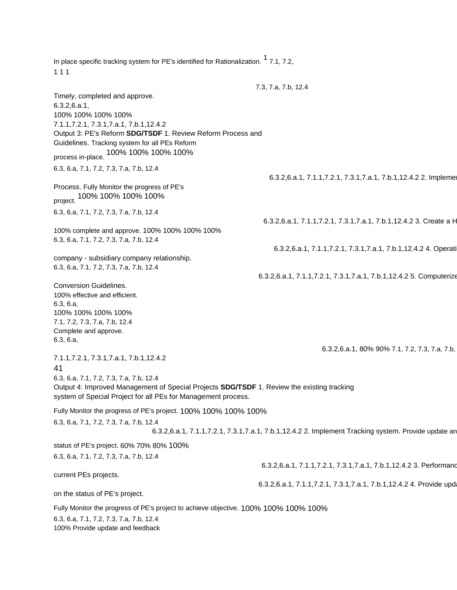In place specific tracking system for PE's identified for Rationalization.  $1, 7.1, 7.2,$ 1 1 1 7.3, 7.a, 7.b, 12.4 Timely, completed and approve. 6.3.2,6.a.1, 100% 100% 100% 100% 7.1.1,7.2.1, 7.3.1,7.a.1, 7.b.1,12.4.2 Output 3: PE's Reform **SDG/TSDF** 1. Review Reform Process and Guidelines. Tracking system for all PEs Reform process in-place. 100% 100% 100% 100% 6.3, 6.a, 7.1, 7.2, 7.3, 7.a, 7.b, 12.4 6.3.2,6.a.1, 7.1.1,7.2.1, 7.3.1,7.a.1, 7.b.1,12.4.2 2. Impleme Process. Fully Monitor the progress of PE's project. 100% 100% 100% 100% 6.3, 6.a, 7.1, 7.2, 7.3, 7.a, 7.b, 12.4 6.3.2,6.a.1, 7.1.1,7.2.1, 7.3.1,7.a.1, 7.b.1,12.4.2 3. Create a H 100% complete and approve. 100% 100% 100% 100% 6.3, 6.a, 7.1, 7.2, 7.3, 7.a, 7.b, 12.4 6.3.2,6.a.1, 7.1.1,7.2.1, 7.3.1,7.a.1, 7.b.1,12.4.2 4. Operati company - subsidiary company relationship. 6.3, 6.a, 7.1, 7.2, 7.3, 7.a, 7.b, 12.4 6.3.2,6.a.1, 7.1.1,7.2.1, 7.3.1,7.a.1, 7.b.1,12.4.2 5. Computerize Conversion Guidelines. 100% effective and efficient. 6.3, 6.a, 100% 100% 100% 100% 7.1, 7.2, 7.3, 7.a, 7.b, 12.4 Complete and approve. 6.3, 6.a, 6.3.2,6.a.1, 80% 90% 7.1, 7.2, 7.3, 7.a, 7.b, 7.1.1,7.2.1, 7.3.1,7.a.1, 7.b.1,12.4.2 41 6.3, 6.a, 7.1, 7.2, 7.3, 7.a, 7.b, 12.4 Output 4: Improved Management of Special Projects **SDG/TSDF** 1. Review the existing tracking system of Special Project for all PEs for Management process. Fully Monitor the progress of PE's project. 100% 100% 100% 100% 6.3, 6.a, 7.1, 7.2, 7.3, 7.a, 7.b, 12.4 6.3.2,6.a.1, 7.1.1,7.2.1, 7.3.1,7.a.1, 7.b.1,12.4.2 2. Implement Tracking system. Provide update an status of PE's project. 60% 70% 80% 100% 6.3, 6.a, 7.1, 7.2, 7.3, 7.a, 7.b, 12.4 6.3.2,6.a.1, 7.1.1,7.2.1, 7.3.1,7.a.1, 7.b.1,12.4.2 3. Performand current PEs projects. 6.3.2,6.a.1, 7.1.1,7.2.1, 7.3.1,7.a.1, 7.b.1,12.4.2 4. Provide upd on the status of PE's project. Fully Monitor the progress of PE's project to achieve objective. 100% 100% 100% 100% 6.3, 6.a, 7.1, 7.2, 7.3, 7.a, 7.b, 12.4 100% Provide update and feedback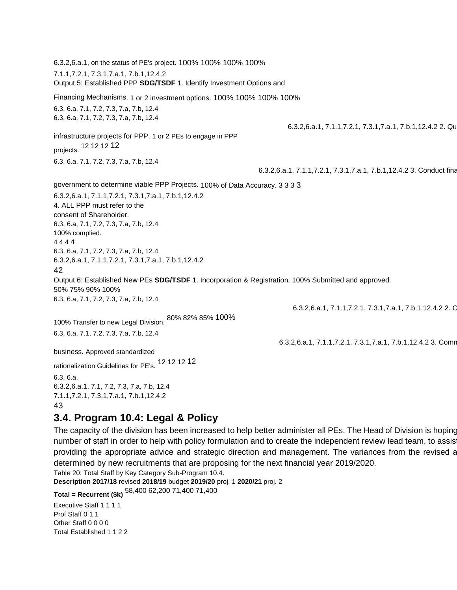6.3.2,6.a.1, on the status of PE's project. 100% 100% 100% 100% 7.1.1,7.2.1, 7.3.1,7.a.1, 7.b.1,12.4.2 Output 5: Established PPP **SDG/TSDF** 1. Identify Investment Options and Financing Mechanisms. 1 or 2 investment options. 100% 100% 100% 100% 6.3, 6.a, 7.1, 7.2, 7.3, 7.a, 7.b, 12.4 6.3, 6.a, 7.1, 7.2, 7.3, 7.a, 7.b, 12.4 6.3.2,6.a.1, 7.1.1,7.2.1, 7.3.1,7.a.1, 7.b.1,12.4.2 2. Qu infrastructure projects for PPP. 1 or 2 PEs to engage in PPP projects. 12 12 12 <sup>12</sup> 6.3, 6.a, 7.1, 7.2, 7.3, 7.a, 7.b, 12.4 6.3.2,6.a.1, 7.1.1,7.2.1, 7.3.1,7.a.1, 7.b.1,12.4.2 3. Conduct fina government to determine viable PPP Projects. 100% of Data Accuracy. 3 3 3 3 6.3.2,6.a.1, 7.1.1,7.2.1, 7.3.1,7.a.1, 7.b.1,12.4.2 4. ALL PPP must refer to the consent of Shareholder. 6.3, 6.a, 7.1, 7.2, 7.3, 7.a, 7.b, 12.4 100% complied. 4 4 4 4 6.3, 6.a, 7.1, 7.2, 7.3, 7.a, 7.b, 12.4 6.3.2,6.a.1, 7.1.1,7.2.1, 7.3.1,7.a.1, 7.b.1,12.4.2 42 Output 6: Established New PEs **SDG/TSDF** 1. Incorporation & Registration. 100% Submitted and approved. 50% 75% 90% 100% 6.3, 6.a, 7.1, 7.2, 7.3, 7.a, 7.b, 12.4 6.3.2,6.a.1, 7.1.1,7.2.1, 7.3.1,7.a.1, 7.b.1,12.4.2 2. C 100% Transfer to new Legal Division. 80% 82% 85% 100% 6.3, 6.a, 7.1, 7.2, 7.3, 7.a, 7.b, 12.4 6.3.2,6.a.1, 7.1.1,7.2.1, 7.3.1,7.a.1, 7.b.1,12.4.2 3. Comr business. Approved standardized rationalization Guidelines for PE's. 12 12 12 <sup>12</sup> 6.3, 6.a, 6.3.2,6.a.1, 7.1, 7.2, 7.3, 7.a, 7.b, 12.4 7.1.1,7.2.1, 7.3.1,7.a.1, 7.b.1,12.4.2 43

### **3.4. Program 10.4: Legal & Policy**

The capacity of the division has been increased to help better administer all PEs. The Head of Division is hoping number of staff in order to help with policy formulation and to create the independent review lead team, to assis providing the appropriate advice and strategic direction and management. The variances from the revised and budget are determined by new recruitments that are proposing for the next financial year 2019/2020. Table 20: Total Staff by Key Category Sub-Program 10.4.

**Description 2017/18** revised **2018/19** budget **2019/20** proj. 1 **2020/21** proj. 2

**Total = Recurrent (\$k)** 58,400 62,200 71,400 71,400

Executive Staff 1 1 1 1 Prof Staff 0 1 1 Other Staff 0 0 0 0 Total Established 1 1 2 2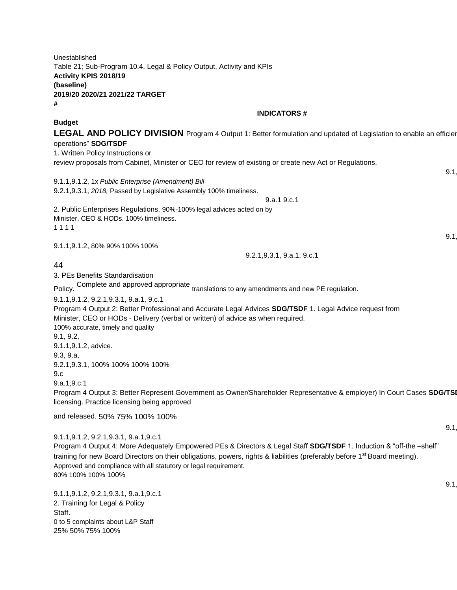Unestablished Table 21; Sub-Program 10.4, Legal & Policy Output, Activity and KPIs **Activity KPIS 2018/19 (baseline) 2019/20 2020/21 2021/22 TARGET # INDICATORS # Budget LEGAL AND POLICY DIVISION** Program 4 Output 1: Better formulation and updated of Legislation to enable an efficien operations" **SDG/TSDF**  1. Written Policy Instructions or review proposals from Cabinet, Minister or CEO for review of existing or create new Act or Regulations.  $9.1$ 9.1.1,9.1.2, 1x *Public Enterprise (Amendment) Bill*  9.2.1,9.3.1, *2018,* Passed by Legislative Assembly 100% timeliness. 9.a.1 9.c.1 2. Public Enterprises Regulations. 90%-100% legal advices acted on by Minister, CEO & HODs. 100% timeliness. 1 1 1 1  $9.1$ 9.1.1,9.1.2, 80% 90% 100% 100% 9.2.1,9.3.1, 9.a.1, 9.c.1 44 3. PEs Benefits Standardisation Policy. Complete and approved appropriate translations to any amendments and new PE regulation. 9.1.1,9.1.2, 9.2.1,9.3.1, 9.a.1, 9.c.1 Program 4 Output 2: Better Professional and Accurate Legal Advices **SDG/TSDF** 1. Legal Advice request from Minister, CEO or HODs - Delivery (verbal or written) of advice as when required. 100% accurate, timely and quality 9.1, 9.2, 9.1.1,9.1.2, advice. 9.3, 9.a, 9.2.1,9.3.1, 100% 100% 100% 100% 9.c 9.a.1,9.c.1 Program 4 Output 3: Better Represent Government as Owner/Shareholder Representative & employer) In Court Cases SDG/TSI licensing. Practice licensing being approved and released. 50% 75% 100% 100%  $9.1$ 9.1.1,9.1.2, 9.2.1,9.3.1, 9.a.1,9.c.1 Program 4 Output 4: More Adequately Empowered PEs & Directors & Legal Staff **SDG/TSDF** 1. Induction & "off-the –shelf" training for new Board Directors on their obligations, powers, rights & liabilities (preferably before 1<sup>st</sup> Board meeting). Approved and compliance with all statutory or legal requirement. 80% 100% 100% 100%  $9.1$ 9.1.1,9.1.2, 9.2.1,9.3.1, 9.a.1,9.c.1 2. Training for Legal & Policy

Staff. 0 to 5 complaints about L&P Staff 25% 50% 75% 100%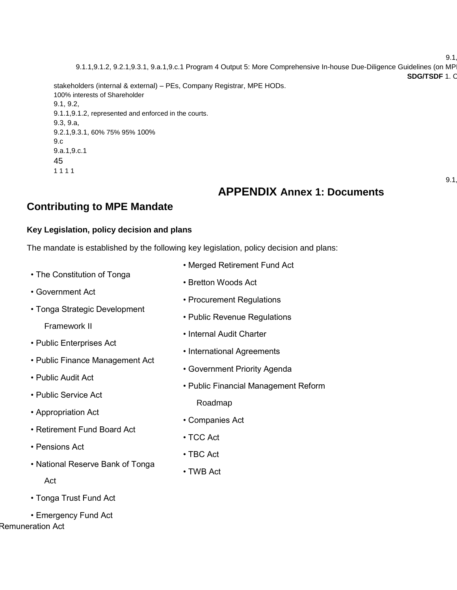$9.1$ 

9.1.1,9.1.2, 9.2.1,9.3.1, 9.a.1,9.c.1 Program 4 Output 5: More Comprehensive In-house Due-Diligence Guidelines (on MP **SDG/TSDF 1. C** 

stakeholders (internal & external) – PEs, Company Registrar, MPE HODs. 100% interests of Shareholder 9.1, 9.2, 9.1.1,9.1.2, represented and enforced in the courts. 9.3, 9.a, 9.2.1,9.3.1, 60% 75% 95% 100% 9.c 9.a.1,9.c.1

45

1 1 1 1

 $9.1$ 

## **APPENDIX Annex 1: Documents**

## **Contributing to MPE Mandate**

#### **Key Legislation, policy decision and plans**

The mandate is established by the following key legislation, policy decision and plans:

- The Constitution of Tonga
- Government Act
- Tonga Strategic Development

Framework II

- Public Enterprises Act
- Public Finance Management Act
- Public Audit Act
- Public Service Act
- Appropriation Act
- Retirement Fund Board Act
- Pensions Act
- National Reserve Bank of Tonga
	- Act
- Tonga Trust Fund Act
- Emergency Fund Act • Remuneration Act
- Merged Retirement Fund Act
- Bretton Woods Act
- Procurement Regulations
- Public Revenue Regulations
- Internal Audit Charter
- International Agreements
- Government Priority Agenda
- Public Financial Management Reform
	- Roadmap
- Companies Act
- TCC Act
- TBC Act
- TWB Act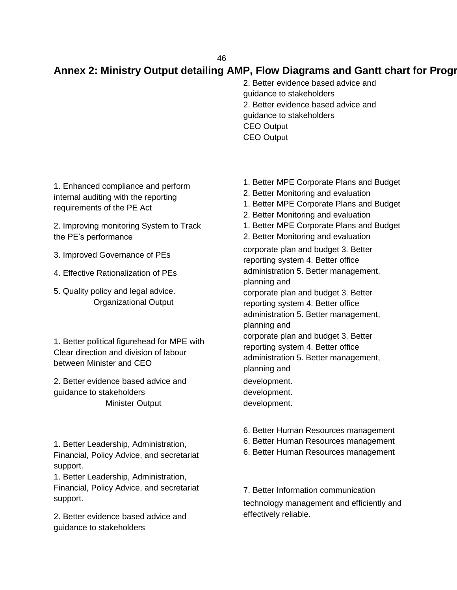## Annex 2: Ministry Output detailing AMP, Flow Diagrams and Gantt chart for Progr

2. Better evidence based advice and guidance to stakeholders 2. Better evidence based advice and guidance to stakeholders CEO Output CEO Output

1. Enhanced compliance and perform internal auditing with the reporting requirements of the PE Act

2. Improving monitoring System to Track the PE's performance

- 3. Improved Governance of PEs
- 4. Effective Rationalization of PEs
- 5. Quality policy and legal advice. Organizational Output

1. Better political figurehead for MPE with Clear direction and division of labour between Minister and CEO

2. Better evidence based advice and guidance to stakeholders Minister Output

1. Better Leadership, Administration, Financial, Policy Advice, and secretariat support.

1. Better Leadership, Administration, Financial, Policy Advice, and secretariat support.

2. Better evidence based advice and guidance to stakeholders

- 1. Better MPE Corporate Plans and Budget
- 2. Better Monitoring and evaluation
- 1. Better MPE Corporate Plans and Budget
- 2. Better Monitoring and evaluation
- 1. Better MPE Corporate Plans and Budget
- 2. Better Monitoring and evaluation

corporate plan and budget 3. Better reporting system 4. Better office administration 5. Better management, planning and corporate plan and budget 3. Better reporting system 4. Better office administration 5. Better management, planning and corporate plan and budget 3. Better reporting system 4. Better office administration 5. Better management, planning and development. development. development.

- 6. Better Human Resources management
- 6. Better Human Resources management
- 6. Better Human Resources management
- 7. Better Information communication technology management and efficiently and effectively reliable.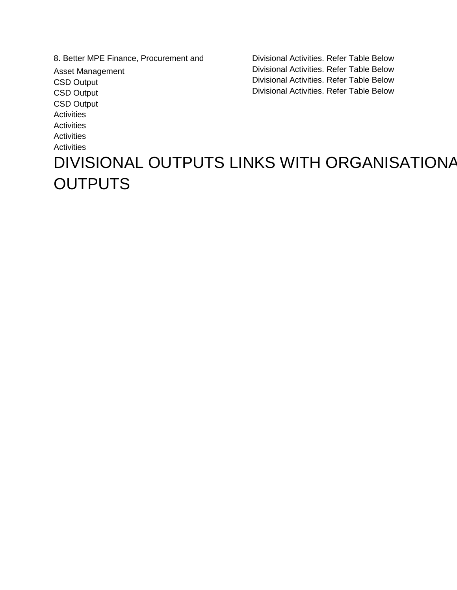8. Better MPE Finance, Procurement and Asset Management CSD Output CSD Output CSD Output **Activities Activities Activities Activities** 

Divisional Activities. Refer Table Below Divisional Activities. Refer Table Below Divisional Activities. Refer Table Below Divisional Activities. Refer Table Below

## DIVISIONAL OUTPUTS LINKS WITH ORGANISATIONAL **OUTPUTS**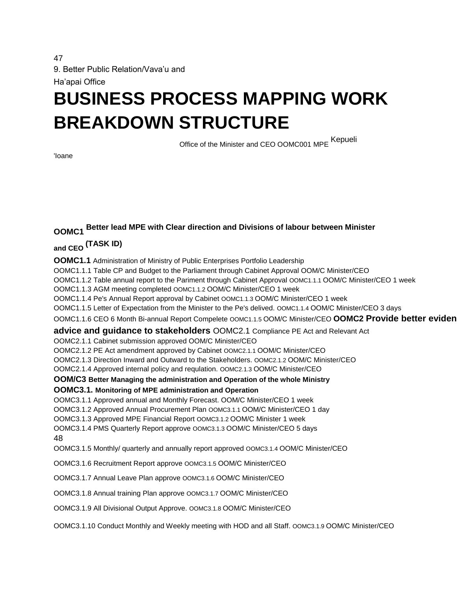47 9. Better Public Relation/Vava'u and

Ha'apai Office

## **BUSINESS PROCESS MAPPING WORK BREAKDOWN STRUCTURE**

Office of the Minister and CEO OOMC001 MPE Kepueli

'Ioane

## **OOMC1 Better lead MPE with Clear direction and Divisions of labour between Minister**

**and CEO (TASK ID)** 

**OOMC1.1** Administration of Ministry of Public Enterprises Portfolio Leadership OOMC1.1.1 Table CP and Budget to the Parliament through Cabinet Approval OOM/C Minister/CEO OOMC1.1.2 Table annual report to the Pariment through Cabinet Approval OOMC1.1.1 OOM/C Minister/CEO 1 week OOMC1.1.3 AGM meeting completed OOMC1.1.2 OOM/C Minister/CEO 1 week OOMC1.1.4 Pe's Annual Report approval by Cabinet OOMC1.1.3 OOM/C Minister/CEO 1 week OOMC1.1.5 Letter of Expectation from the Minister to the Pe's delived. OOMC1.1.4 OOM/C Minister/CEO 3 days OOMC1.1.6 CEO 6 Month Bi-annual Report Compelete OOMC1.1.5 OOM/C Minister/CEO OOMC2 Provide better eviden **advice and guidance to stakeholders** OOMC2.1 Compliance PE Act and Relevant Act OOMC2.1.1 Cabinet submission approved OOM/C Minister/CEO OOMC2.1.2 PE Act amendment approved by Cabinet OOMC2.1.1 OOM/C Minister/CEO OOMC2.1.3 Direction Inward and Outward to the Stakeholders. OOMC2.1.2 OOM/C Minister/CEO OOMC2.1.4 Approved internal policy and requlation. OOMC2.1.3 OOM/C Minister/CEO **OOM/C3 Better Managing the administration and Operation of the whole Ministry OOMC3.1. Monitoring of MPE administration and Operation**  OOMC3.1.1 Approved annual and Monthly Forecast. OOM/C Minister/CEO 1 week OOMC3.1.2 Approved Annual Procurement Plan OOMC3.1.1 OOM/C Minister/CEO 1 day OOMC3.1.3 Approved MPE Financial Report OOMC3.1.2 OOM/C Minister 1 week OOMC3.1.4 PMS Quarterly Report approve OOMC3.1.3 OOM/C Minister/CEO 5 days 48 OOMC3.1.5 Monthly/ quarterly and annually report approved OOMC3.1.4 OOM/C Minister/CEO OOMC3.1.6 Recruitment Report approve OOMC3.1.5 OOM/C Minister/CEO OOMC3.1.7 Annual Leave Plan approve OOMC3.1.6 OOM/C Minister/CEO OOMC3.1.8 Annual training Plan approve OOMC3.1.7 OOM/C Minister/CEO OOMC3.1.9 All Divisional Output Approve. OOMC3.1.8 OOM/C Minister/CEO

OOMC3.1.10 Conduct Monthly and Weekly meeting with HOD and all Staff. OOMC3.1.9 OOM/C Minister/CEO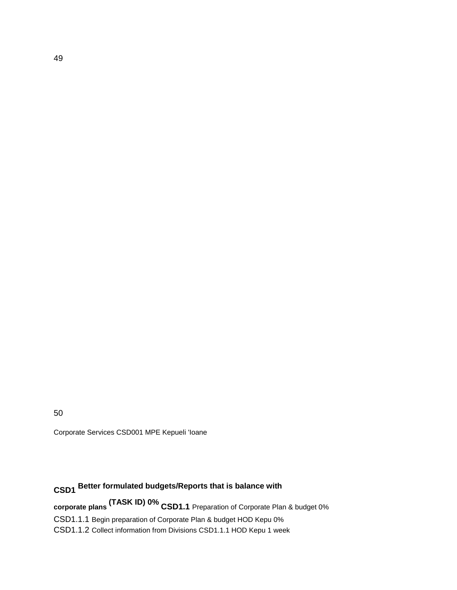50

Corporate Services CSD001 MPE Kepueli 'Ioane

## **CSD1 Better formulated budgets/Reports that is balance with**

**corporate plans (TASK ID) 0% CSD1.1** Preparation of Corporate Plan & budget 0% CSD1.1.1 Begin preparation of Corporate Plan & budget HOD Kepu 0% CSD1.1.2 Collect information from Divisions CSD1.1.1 HOD Kepu 1 week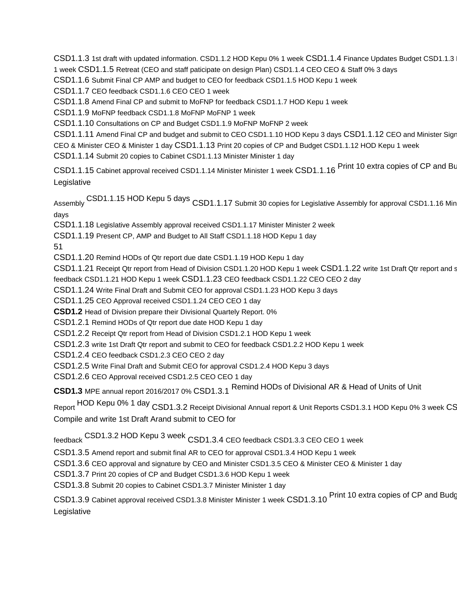CSD1.1.3 1st draft with updated information. CSD1.1.2 HOD Kepu 0% 1 week CSD1.1.4 Finance Updates Budget CSD1.1.3 1 week CSD1.1.5 Retreat (CEO and staff paticipate on design Plan) CSD1.1.4 CEO CEO & Staff 0% 3 days

CSD1.1.6 Submit Final CP AMP and budget to CEO for feedback CSD1.1.5 HOD Kepu 1 week

CSD1.1.7 CEO feedback CSD1.1.6 CEO CEO 1 week

CSD1.1.8 Amend Final CP and submit to MoFNP for feedback CSD1.1.7 HOD Kepu 1 week

CSD1.1.9 MoFNP feedback CSD1.1.8 MoFNP MoFNP 1 week

CSD1.1.10 Consultations on CP and Budget CSD1.1.9 MoFNP MoFNP 2 week

CSD1.1.11 Amend Final CP and budget and submit to CEO CSD1.1.10 HOD Kepu 3 days CSD1.1.12 CEO and Minister Sign

CEO & Minister CEO & Minister 1 day CSD1.1.13 Print 20 copies of CP and Budget CSD1.1.12 HOD Kepu 1 week

CSD1.1.14 Submit 20 copies to Cabinet CSD1.1.13 Minister Minister 1 day

CSD1.1.15 Cabinet approval received CSD1.1.14 Minister Minister 1 week CSD1.1.16 Print 10 extra copies of CP and Bu Legislative

Assembly CSD1.1.15 HOD Kepu 5 days CSD1.1.17 Submit 30 copies for Legislative Assembly for approval CSD1.1.16 Min days

CSD1.1.18 Legislative Assembly approval received CSD1.1.17 Minister Minister 2 week

CSD1.1.19 Present CP, AMP and Budget to All Staff CSD1.1.18 HOD Kepu 1 day

51

CSD1.1.20 Remind HODs of Qtr report due date CSD1.1.19 HOD Kepu 1 day

CSD1.1.21 Receipt Qtr report from Head of Division CSD1.1.20 HOD Kepu 1 week CSD1.1.22 write 1st Draft Qtr report and s

feedback CSD1.1.21 HOD Kepu 1 week CSD1.1.23 CEO feedback CSD1.1.22 CEO CEO 2 day

CSD1.1.24 Write Final Draft and Submit CEO for approval CSD1.1.23 HOD Kepu 3 days

CSD1.1.25 CEO Approval received CSD1.1.24 CEO CEO 1 day

**CSD1.2** Head of Division prepare their Divisional Quartely Report. 0%

CSD1.2.1 Remind HODs of Qtr report due date HOD Kepu 1 day

CSD1.2.2 Receipt Qtr report from Head of Division CSD1.2.1 HOD Kepu 1 week

CSD1.2.3 write 1st Draft Qtr report and submit to CEO for feedback CSD1.2.2 HOD Kepu 1 week

CSD1.2.4 CEO feedback CSD1.2.3 CEO CEO 2 day

CSD1.2.5 Write Final Draft and Submit CEO for approval CSD1.2.4 HOD Kepu 3 days

CSD1.2.6 CEO Approval received CSD1.2.5 CEO CEO 1 day

**CSD1.3** MPE annual report 2016/2017 0% CSD1.3.1 Remind HODs of Divisional AR & Head of Units of Unit

Report HOD Kepu 0% 1 day CSD1.3.2 Receipt Divisional Annual report & Unit Reports CSD1.3.1 HOD Kepu 0% 3 week CSD1.3.3 Compile and write 1st Draft Arand submit to CEO for

feedback CSD1.3.2 HOD Kepu 3 week CSD1.3.4 CEO feedback CSD1.3.3 CEO CEO 1 week

CSD1.3.5 Amend report and submit final AR to CEO for approval CSD1.3.4 HOD Kepu 1 week

CSD1.3.6 CEO approval and signature by CEO and Minister CSD1.3.5 CEO & Minister CEO & Minister 1 day

CSD1.3.7 Print 20 copies of CP and Budget CSD1.3.6 HOD Kepu 1 week

CSD1.3.8 Submit 20 copies to Cabinet CSD1.3.7 Minister Minister 1 day

| CSD1.3.9 Cabinet approval received CSD1.3.8 Minister Minister 1 week CSD1.3.10 Print 10 extra copies of CP and Budg |  |  |
|---------------------------------------------------------------------------------------------------------------------|--|--|
| Legislative                                                                                                         |  |  |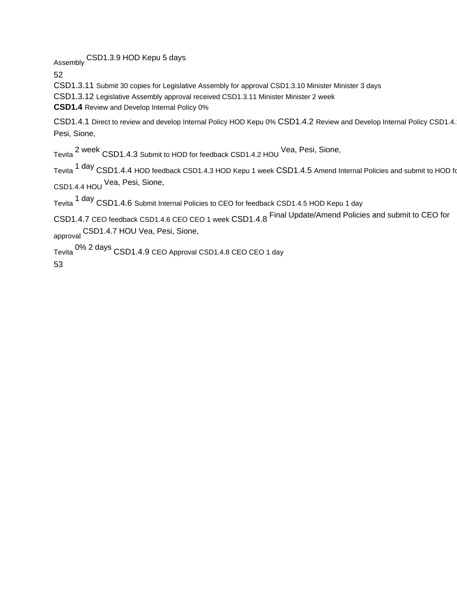Assembly CSD1.3.9 HOD Kepu 5 days

52

CSD1.3.11 Submit 30 copies for Legislative Assembly for approval CSD1.3.10 Minister Minister 3 days

CSD1.3.12 Legislative Assembly approval received CSD1.3.11 Minister Minister 2 week

**CSD1.4** Review and Develop Internal Policy 0%

CSD1.4.1 Direct to review and develop Internal Policy HOD Kepu 0% CSD1.4.2 Review and Develop Internal Policy CSD1.4. Pesi, Sione,

Tevita 2 week CSD1.4.3 Submit to HOD for feedback CSD1.4.2 HOU Vea, Pesi, Sione,

Tevita <sup>1 day</sup> CSD1.4.4 HOD feedback CSD1.4.3 HOD Kepu 1 week CSD1.4.5 Amend Internal Policies and submit to HOD for CSD1.4.4 HOU Vea, Pesi, Sione,

Tevita <sup>1 day</sup> CSD1.4.6 Submit Internal Policies to CEO for feedback CSD1.4.5 HOD Kepu 1 day

CSD1.4.7 CEO feedback CSD1.4.6 CEO CEO 1 week CSD1.4.8 Final Update/Amend Policies and submit to CEO for approval CSD1.4.7 HOU Vea, Pesi, Sione,

Tevita 0% 2 days CSD1.4.9 CEO Approval CSD1.4.8 CEO CEO 1 day

53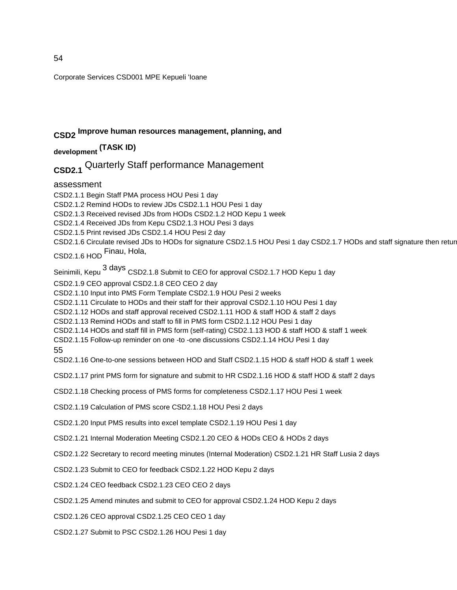Corporate Services CSD001 MPE Kepueli 'Ioane

## **CSD2 Improve human resources management, planning, and**

**development (TASK ID)** 

## **CSD2.1** Quarterly Staff performance Management

assessment

CSD2.1.1 Begin Staff PMA process HOU Pesi 1 day CSD2.1.2 Remind HODs to review JDs CSD2.1.1 HOU Pesi 1 day CSD2.1.3 Received revised JDs from HODs CSD2.1.2 HOD Kepu 1 week CSD2.1.4 Received JDs from Kepu CSD2.1.3 HOU Pesi 3 days CSD2.1.5 Print revised JDs CSD2.1.4 HOU Pesi 2 day CSD2.1.6 Circulate revised JDs to HODs for signature CSD2.1.5 HOU Pesi 1 day CSD2.1.7 HODs and staff signature then retur CSD2.1.6 HOD Finau, Hola, Seinimili, Kepu <sup>3</sup> days CSD2.1.8 Submit to CEO for approval CSD2.1.7 HOD Kepu 1 day CSD2.1.9 CEO approval CSD2.1.8 CEO CEO 2 day CSD2.1.10 Input into PMS Form Template CSD2.1.9 HOU Pesi 2 weeks CSD2.1.11 Circulate to HODs and their staff for their approval CSD2.1.10 HOU Pesi 1 day CSD2.1.12 HODs and staff approval received CSD2.1.11 HOD & staff HOD & staff 2 days CSD2.1.13 Remind HODs and staff to fill in PMS form CSD2.1.12 HOU Pesi 1 day CSD2.1.14 HODs and staff fill in PMS form (self-rating) CSD2.1.13 HOD & staff HOD & staff 1 week CSD2.1.15 Follow-up reminder on one -to -one discussions CSD2.1.14 HOU Pesi 1 day 55 CSD2.1.16 One-to-one sessions between HOD and Staff CSD2.1.15 HOD & staff HOD & staff 1 week CSD2.1.17 print PMS form for signature and submit to HR CSD2.1.16 HOD & staff HOD & staff 2 days CSD2.1.18 Checking process of PMS forms for completeness CSD2.1.17 HOU Pesi 1 week CSD2.1.19 Calculation of PMS score CSD2.1.18 HOU Pesi 2 days CSD2.1.20 Input PMS results into excel template CSD2.1.19 HOU Pesi 1 day CSD2.1.21 Internal Moderation Meeting CSD2.1.20 CEO & HODs CEO & HODs 2 days CSD2.1.22 Secretary to record meeting minutes (Internal Moderation) CSD2.1.21 HR Staff Lusia 2 days CSD2.1.23 Submit to CEO for feedback CSD2.1.22 HOD Kepu 2 days CSD2.1.24 CEO feedback CSD2.1.23 CEO CEO 2 days CSD2.1.25 Amend minutes and submit to CEO for approval CSD2.1.24 HOD Kepu 2 days CSD2.1.26 CEO approval CSD2.1.25 CEO CEO 1 day CSD2.1.27 Submit to PSC CSD2.1.26 HOU Pesi 1 day

54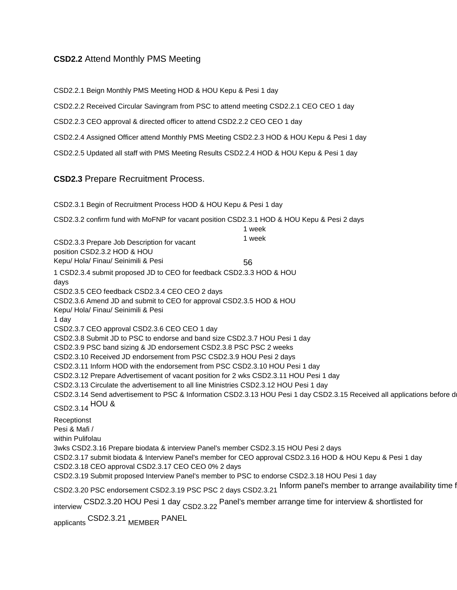#### **CSD2.2** Attend Monthly PMS Meeting

CSD2.2.1 Beign Monthly PMS Meeting HOD & HOU Kepu & Pesi 1 day

CSD2.2.2 Received Circular Savingram from PSC to attend meeting CSD2.2.1 CEO CEO 1 day

CSD2.2.3 CEO approval & directed officer to attend CSD2.2.2 CEO CEO 1 day

CSD2.2.4 Assigned Officer attend Monthly PMS Meeting CSD2.2.3 HOD & HOU Kepu & Pesi 1 day

CSD2.2.5 Updated all staff with PMS Meeting Results CSD2.2.4 HOD & HOU Kepu & Pesi 1 day

#### **CSD2.3** Prepare Recruitment Process.

CSD2.3.1 Begin of Recruitment Process HOD & HOU Kepu & Pesi 1 day CSD2.3.2 confirm fund with MoFNP for vacant position CSD2.3.1 HOD & HOU Kepu & Pesi 2 days CSD2.3.3 Prepare Job Description for vacant position CSD2.3.2 HOD & HOU Kepu/ Hola/ Finau/ Seinimili & Pesi 1 week 1 week 56 1 CSD2.3.4 submit proposed JD to CEO for feedback CSD2.3.3 HOD & HOU days CSD2.3.5 CEO feedback CSD2.3.4 CEO CEO 2 days CSD2.3.6 Amend JD and submit to CEO for approval CSD2.3.5 HOD & HOU Kepu/ Hola/ Finau/ Seinimili & Pesi 1 day CSD2.3.7 CEO approval CSD2.3.6 CEO CEO 1 day CSD2.3.8 Submit JD to PSC to endorse and band size CSD2.3.7 HOU Pesi 1 day CSD2.3.9 PSC band sizing & JD endorsement CSD2.3.8 PSC PSC 2 weeks CSD2.3.10 Received JD endorsement from PSC CSD2.3.9 HOU Pesi 2 days CSD2.3.11 Inform HOD with the endorsement from PSC CSD2.3.10 HOU Pesi 1 day CSD2.3.12 Prepare Advertisement of vacant position for 2 wks CSD2.3.11 HOU Pesi 1 day CSD2.3.13 Circulate the advertisement to all line Ministries CSD2.3.12 HOU Pesi 1 day CSD2.3.14 Send advertisement to PSC & Information CSD2.3.13 HOU Pesi 1 day CSD2.3.15 Received all applications before d CSD2.3.14 HOU & Receptionst Pesi & Mafi / within Pulifolau 3wks CSD2.3.16 Prepare biodata & interview Panel's member CSD2.3.15 HOU Pesi 2 days CSD2.3.17 submit biodata & Interview Panel's member for CEO approval CSD2.3.16 HOD & HOU Kepu & Pesi 1 day CSD2.3.18 CEO approval CSD2.3.17 CEO CEO 0% 2 days CSD2.3.19 Submit proposed Interview Panel's member to PSC to endorse CSD2.3.18 HOU Pesi 1 day CSD2.3.20 PSC endorsement CSD2.3.19 PSC PSC 2 days CSD2.3.21 Inform panel's member to arrange availability time for interview CSD2.3.20 HOU Pesi 1 day <sub>CSD2.3.22</sub> Panel's member arrange time for interview & shortlisted for applicants CSD2.3.21 MEMBER PANEL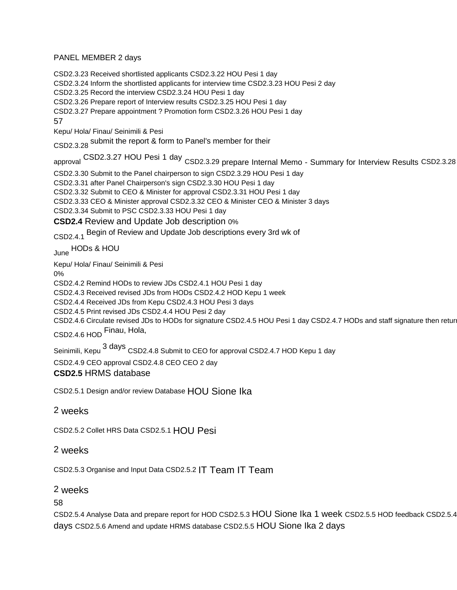#### PANEL MEMBER 2 days

CSD2.3.23 Received shortlisted applicants CSD2.3.22 HOU Pesi 1 day

CSD2.3.24 Inform the shortlisted applicants for interview time CSD2.3.23 HOU Pesi 2 day

CSD2.3.25 Record the interview CSD2.3.24 HOU Pesi 1 day

CSD2.3.26 Prepare report of Interview results CSD2.3.25 HOU Pesi 1 day

CSD2.3.27 Prepare appointment ? Promotion form CSD2.3.26 HOU Pesi 1 day

57

Kepu/ Hola/ Finau/ Seinimili & Pesi

CSD2.3.28 submit the report & form to Panel's member for their

approval CSD2.3.27 HOU Pesi 1 day CSD2.3.29 prepare Internal Memo - Summary for Interview Results CSD2.3.28

CSD2.3.30 Submit to the Panel chairperson to sign CSD2.3.29 HOU Pesi 1 day

CSD2.3.31 after Panel Chairperson's sign CSD2.3.30 HOU Pesi 1 day

CSD2.3.32 Submit to CEO & Minister for approval CSD2.3.31 HOU Pesi 1 day

CSD2.3.33 CEO & Minister approval CSD2.3.32 CEO & Minister CEO & Minister 3 days

CSD2.3.34 Submit to PSC CSD2.3.33 HOU Pesi 1 day

**CSD2.4** Review and Update Job description 0%

CSD2.4.1 Begin of Review and Update Job descriptions every 3rd wk of

June HODs & HOU

Kepu/ Hola/ Finau/ Seinimili & Pesi

0%

CSD2.4.2 Remind HODs to review JDs CSD2.4.1 HOU Pesi 1 day

CSD2.4.3 Received revised JDs from HODs CSD2.4.2 HOD Kepu 1 week

CSD2.4.4 Received JDs from Kepu CSD2.4.3 HOU Pesi 3 days

CSD2.4.5 Print revised JDs CSD2.4.4 HOU Pesi 2 day

CSD2.4.6 Circulate revised JDs to HODs for signature CSD2.4.5 HOU Pesi 1 day CSD2.4.7 HODs and staff signature then return

CSD2.4.6 HOD Finau, Hola,

Seinimili, Kepu <sup>3 days</sup> CSD2.4.8 Submit to CEO for approval CSD2.4.7 HOD Kepu 1 day

CSD2.4.9 CEO approval CSD2.4.8 CEO CEO 2 day

#### **CSD2.5** HRMS database

CSD2.5.1 Design and/or review Database HOU Sione Ika

#### 2 weeks

CSD2.5.2 Collet HRS Data CSD2.5.1 HOU Pesi

#### 2 weeks

CSD2.5.3 Organise and Input Data CSD2.5.2 IT Team IT Team

#### 2 weeks

58

CSD2.5.4 Analyse Data and prepare report for HOD CSD2.5.3 HOU Sione Ika 1 week CSD2.5.5 HOD feedback CSD2.5.4 days CSD2.5.6 Amend and update HRMS database CSD2.5.5 HOU Sione Ika 2 days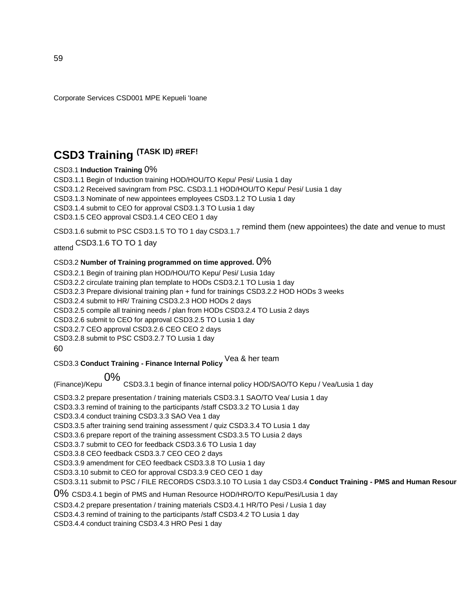Corporate Services CSD001 MPE Kepueli 'Ioane

## **CSD3 Training (TASK ID) #REF!**

#### CSD3.1 **Induction Training** 0%

CSD3.1.1 Begin of Induction training HOD/HOU/TO Kepu/ Pesi/ Lusia 1 day CSD3.1.2 Received savingram from PSC. CSD3.1.1 HOD/HOU/TO Kepu/ Pesi/ Lusia 1 day CSD3.1.3 Nominate of new appointees employees CSD3.1.2 TO Lusia 1 day CSD3.1.4 submit to CEO for approval CSD3.1.3 TO Lusia 1 day CSD3.1.5 CEO approval CSD3.1.4 CEO CEO 1 day CSD3.1.6 submit to PSC CSD3.1.5 TO TO 1 day CSD3.1.7 remind them (new appointees) the date and venue to must

attend CSD3.1.6 TO TO 1 day

#### CSD3.2 **Number of Training programmed on time approved.** 0%

CSD3.2.1 Begin of training plan HOD/HOU/TO Kepu/ Pesi/ Lusia 1day CSD3.2.2 circulate training plan template to HODs CSD3.2.1 TO Lusia 1 day CSD3.2.3 Prepare divisional training plan + fund for trainings CSD3.2.2 HOD HODs 3 weeks CSD3.2.4 submit to HR/ Training CSD3.2.3 HOD HODs 2 days CSD3.2.5 compile all training needs / plan from HODs CSD3.2.4 TO Lusia 2 days CSD3.2.6 submit to CEO for approval CSD3.2.5 TO Lusia 1 day CSD3.2.7 CEO approval CSD3.2.6 CEO CEO 2 days CSD3.2.8 submit to PSC CSD3.2.7 TO Lusia 1 day 60

CSD3.3 **Conduct Training - Finance Internal Policy** Vea & her team

(Finance)/Kepu 0% CSD3.3.1 begin of finance internal policy HOD/SAO/TO Kepu / Vea/Lusia 1 day

CSD3.3.2 prepare presentation / training materials CSD3.3.1 SAO/TO Vea/ Lusia 1 day

CSD3.3.3 remind of training to the participants /staff CSD3.3.2 TO Lusia 1 day

CSD3.3.4 conduct training CSD3.3.3 SAO Vea 1 day

CSD3.3.5 after training send training assessment / quiz CSD3.3.4 TO Lusia 1 day

CSD3.3.6 prepare report of the training assessment CSD3.3.5 TO Lusia 2 days

CSD3.3.7 submit to CEO for feedback CSD3.3.6 TO Lusia 1 day

CSD3.3.8 CEO feedback CSD3.3.7 CEO CEO 2 days

CSD3.3.9 amendment for CEO feedback CSD3.3.8 TO Lusia 1 day

CSD3.3.10 submit to CEO for approval CSD3.3.9 CEO CEO 1 day

CSD3.3.11 submit to PSC / FILE RECORDS CSD3.3.10 TO Lusia 1 day CSD3.4 Conduct Training - PMS and Human Resour

0% CSD3.4.1 begin of PMS and Human Resource HOD/HRO/TO Kepu/Pesi/Lusia 1 day

CSD3.4.2 prepare presentation / training materials CSD3.4.1 HR/TO Pesi / Lusia 1 day

CSD3.4.3 remind of training to the participants /staff CSD3.4.2 TO Lusia 1 day

CSD3.4.4 conduct training CSD3.4.3 HRO Pesi 1 day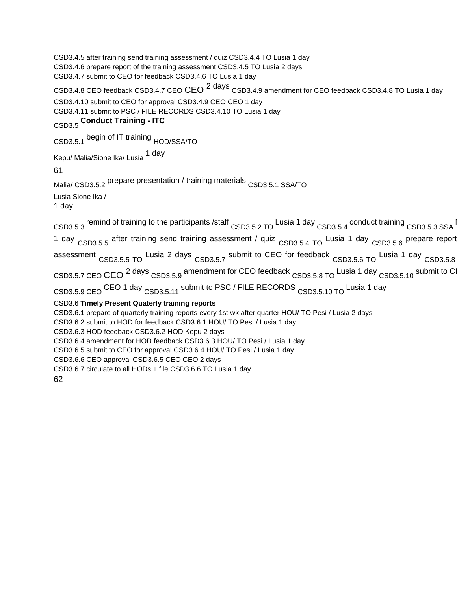CSD3.4.5 after training send training assessment / quiz CSD3.4.4 TO Lusia 1 day CSD3.4.6 prepare report of the training assessment CSD3.4.5 TO Lusia 2 days CSD3.4.7 submit to CEO for feedback CSD3.4.6 TO Lusia 1 day

CSD3.4.8 CEO feedback CSD3.4.7 CEO CEO <sup>2 days</sup> CSD3.4.9 amendment for CEO feedback CSD3.4.8 TO Lusia 1 day CSD3.4.10 submit to CEO for approval CSD3.4.9 CEO CEO 1 day CSD3.4.11 submit to PSC / FILE RECORDS CSD3.4.10 TO Lusia 1 day

## CSD3.5 **Conduct Training - ITC**

CSD3.5.1 begin of IT training HOD/SSA/TO

Kepu/ Malia/Sione Ika/ Lusia 1 day

61

Malia/ CSD3.5.2 prepare presentation / training materials CSD3.5.1 SSA/TO Lusia Sione Ika /

1 day

 $CSD3.5.3$  remind of training to the participants /staff  $CSD3.5.2$  TO Lusia 1 day  $CSD3.5.4$  conduct training  $CSD3.5.3$  SSA 1 day CSD3.5.5 after training send training assessment / quiz CSD3.5.4 TO Lusia 1 day CSD3.5.6 prepare report assessment CSD3.5.5 TO Lusia 2 days CSD3.5.7 submit to CEO for feedback CSD3.5.6 TO Lusia 1 day CSD3.5.8 CSD3.5.7 CEO CEO <sup>2 days</sup> CSD3.5.9 amendment for CEO feedback CSD3.5.8 TO Lusia 1 day CSD3.5.10 submit to C CSD3.5.9 CEO <sup>CEO</sup> 1 day CSD3.5.11 submit to PSC / FILE RECORDS CSD3.5.10 TO Lusia 1 day CSD3.6 **Timely Present Quaterly training reports**  CSD3.6.1 prepare of quarterly training reports every 1st wk after quarter HOU/ TO Pesi / Lusia 2 days CSD3.6.2 submit to HOD for feedback CSD3.6.1 HOU/ TO Pesi / Lusia 1 day CSD3.6.3 HOD feedback CSD3.6.2 HOD Kepu 2 days CSD3.6.4 amendment for HOD feedback CSD3.6.3 HOU/ TO Pesi / Lusia 1 day CSD3.6.5 submit to CEO for approval CSD3.6.4 HOU/ TO Pesi / Lusia 1 day CSD3.6.6 CEO approval CSD3.6.5 CEO CEO 2 days CSD3.6.7 circulate to all HODs + file CSD3.6.6 TO Lusia 1 day 62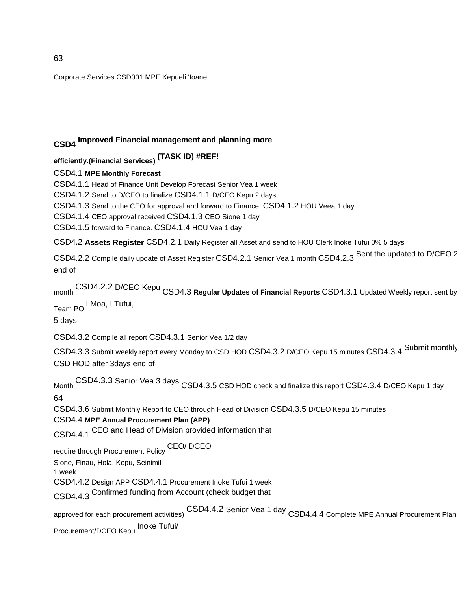Corporate Services CSD001 MPE Kepueli 'Ioane

## **CSD4 Improved Financial management and planning more**

**efficiently.(Financial Services) (TASK ID) #REF!** 

CSD4.1 **MPE Monthly Forecast** 

CSD4.1.1 Head of Finance Unit Develop Forecast Senior Vea 1 week

CSD4.1.2 Send to D/CEO to finalize CSD4.1.1 D/CEO Kepu 2 days

CSD4.1.3 Send to the CEO for approval and forward to Finance. CSD4.1.2 HOU Veea 1 day

CSD4.1.4 CEO approval received CSD4.1.3 CEO Sione 1 day

CSD4.1.5 forward to Finance. CSD4.1.4 HOU Vea 1 day

CSD4.2 **Assets Register** CSD4.2.1 Daily Register all Asset and send to HOU Clerk Inoke Tufui 0% 5 days

CSD4.2.2 Compile daily update of Asset Register CSD4.2.1 Senior Vea 1 month CSD4.2.3 Sent the updated to D/CEO 2 end of

month CSD4.2.2 D/CEO Kepu CSD4.3 Regular Updates of Financial Reports CSD4.3.1 Updated Weekly report sent by

Team PO I.Moa, I.Tufui,

5 days

CSD4.3.2 Compile all report CSD4.3.1 Senior Vea 1/2 day

CSD4.3.3 Submit weekly report every Monday to CSD HOD CSD4.3.2 D/CEO Kepu 15 minutes CSD4.3.4 Submit monthly CSD HOD after 3days end of

Month CSD4.3.3 Senior Vea 3 days CSD4.3.5 CSD HOD check and finalize this report CSD4.3.4 D/CEO Kepu 1 day 64

CSD4.3.6 Submit Monthly Report to CEO through Head of Division CSD4.3.5 D/CEO Kepu 15 minutes

#### CSD4.4 **MPE Annual Procurement Plan (APP)**

CSD4.4.1 CEO and Head of Division provided information that

require through Procurement Policy CEO/ DCEO

Sione, Finau, Hola, Kepu, Seinimili

1 week

CSD4.4.2 Design APP CSD4.4.1 Procurement Inoke Tufui 1 week

CSD4.4.3 Confirmed funding from Account (check budget that

approved for each procurement activities) CSD4.4.2 Senior Vea 1 day CSD4.4.4 Complete MPE Annual Procurement Plan Procurement/DCEO Kepu Inoke Tufui/

63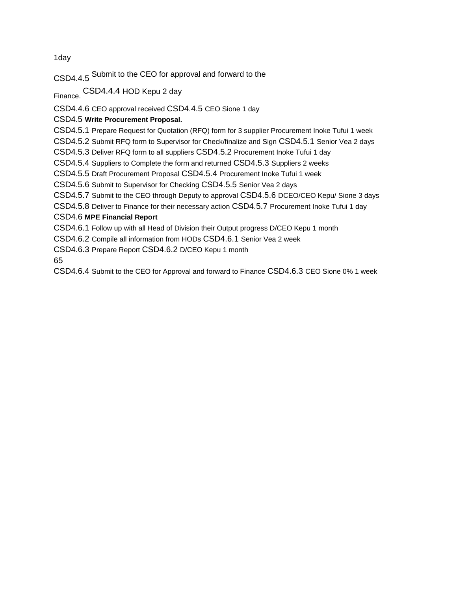1day

CSD4.4.5 Submit to the CEO for approval and forward to the

Finance. CSD4.4.4 HOD Kepu 2 day

CSD4.4.6 CEO approval received CSD4.4.5 CEO Sione 1 day

CSD4.5 **Write Procurement Proposal.** 

CSD4.5.1 Prepare Request for Quotation (RFQ) form for 3 supplier Procurement Inoke Tufui 1 week

CSD4.5.2 Submit RFQ form to Supervisor for Check/finalize and Sign CSD4.5.1 Senior Vea 2 days

CSD4.5.3 Deliver RFQ form to all suppliers CSD4.5.2 Procurement Inoke Tufui 1 day

CSD4.5.4 Suppliers to Complete the form and returned CSD4.5.3 Suppliers 2 weeks

CSD4.5.5 Draft Procurement Proposal CSD4.5.4 Procurement Inoke Tufui 1 week

CSD4.5.6 Submit to Supervisor for Checking CSD4.5.5 Senior Vea 2 days

CSD4.5.7 Submit to the CEO through Deputy to approval CSD4.5.6 DCEO/CEO Kepu/ Sione 3 days

CSD4.5.8 Deliver to Finance for their necessary action CSD4.5.7 Procurement Inoke Tufui 1 day

#### CSD4.6 **MPE Financial Report**

CSD4.6.1 Follow up with all Head of Division their Output progress D/CEO Kepu 1 month

CSD4.6.2 Compile all information from HODs CSD4.6.1 Senior Vea 2 week

CSD4.6.3 Prepare Report CSD4.6.2 D/CEO Kepu 1 month

65

CSD4.6.4 Submit to the CEO for Approval and forward to Finance CSD4.6.3 CEO Sione 0% 1 week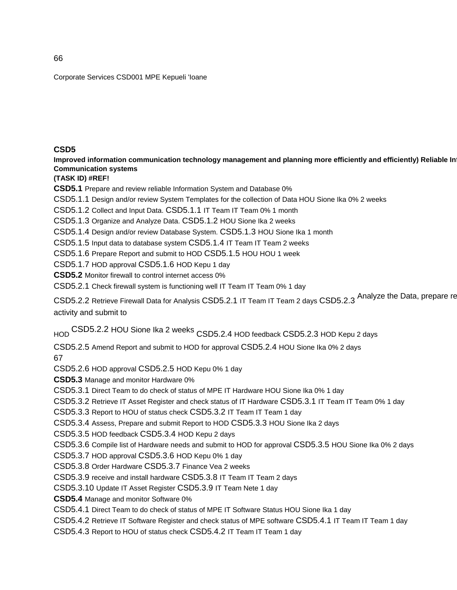Corporate Services CSD001 MPE Kepueli 'Ioane

#### **CSD5**

Improved information communication technology management and planning more efficiently and efficiently) Reliable In **Communication systems** 

**(TASK ID) #REF!** 

**CSD5.1** Prepare and review reliable Information System and Database 0%

CSD5.1.1 Design and/or review System Templates for the collection of Data HOU Sione Ika 0% 2 weeks

CSD5.1.2 Collect and Input Data. CSD5.1.1 IT Team IT Team 0% 1 month

CSD5.1.3 Organize and Analyze Data. CSD5.1.2 HOU Sione Ika 2 weeks

CSD5.1.4 Design and/or review Database System. CSD5.1.3 HOU Sione Ika 1 month

CSD5.1.5 Input data to database system CSD5.1.4 IT Team IT Team 2 weeks

CSD5.1.6 Prepare Report and submit to HOD CSD5.1.5 HOU HOU 1 week

CSD5.1.7 HOD approval CSD5.1.6 HOD Kepu 1 day

**CSD5.2** Monitor firewall to control internet access 0%

CSD5.2.1 Check firewall system is functioning well IT Team IT Team 0% 1 day

CSD5.2.2 Retrieve Firewall Data for Analysis CSD5.2.1 IT Team IT Team 2 days CSD5.2.3 Analyze the Data, prepare re activity and submit to

HOD CSD5.2.2 HOU Sione Ika 2 weeks CSD5.2.4 HOD feedback CSD5.2.3 HOD Kepu 2 days

CSD5.2.5 Amend Report and submit to HOD for approval CSD5.2.4 HOU Sione Ika 0% 2 days

67

CSD5.2.6 HOD approval CSD5.2.5 HOD Kepu 0% 1 day

**CSD5.3** Manage and monitor Hardware 0%

CSD5.3.1 Direct Team to do check of status of MPE IT Hardware HOU Sione Ika 0% 1 day

CSD5.3.2 Retrieve IT Asset Register and check status of IT Hardware CSD5.3.1 IT Team IT Team 0% 1 day

CSD5.3.3 Report to HOU of status check CSD5.3.2 IT Team IT Team 1 day

CSD5.3.4 Assess, Prepare and submit Report to HOD CSD5.3.3 HOU Sione Ika 2 days

CSD5.3.5 HOD feedback CSD5.3.4 HOD Kepu 2 days

CSD5.3.6 Compile list of Hardware needs and submit to HOD for approval CSD5.3.5 HOU Sione Ika 0% 2 days

CSD5.3.7 HOD approval CSD5.3.6 HOD Kepu 0% 1 day

CSD5.3.8 Order Hardware CSD5.3.7 Finance Vea 2 weeks

CSD5.3.9 receive and install hardware CSD5.3.8 IT Team IT Team 2 days

CSD5.3.10 Update IT Asset Register CSD5.3.9 IT Team Nete 1 day

**CSD5.4** Manage and monitor Software 0%

CSD5.4.1 Direct Team to do check of status of MPE IT Software Status HOU Sione Ika 1 day

CSD5.4.2 Retrieve IT Software Register and check status of MPE software CSD5.4.1 IT Team IT Team 1 day

CSD5.4.3 Report to HOU of status check CSD5.4.2 IT Team IT Team 1 day

66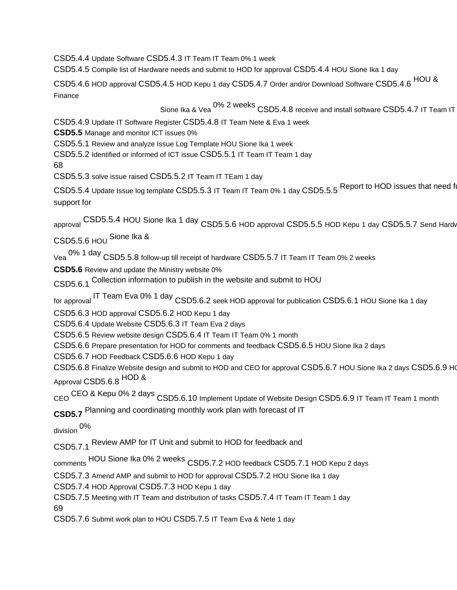CSD5.4.4 Update Software CSD5.4.3 IT Team IT Team 0% 1 week

CSD5.4.5 Compile list of Hardware needs and submit to HOD for approval CSD5.4.4 HOU Sione Ika 1 day

CSD5.4.6 HOD approval CSD5.4.5 HOD Kepu 1 day CSD5.4.7 Order and/or Download Software CSD5.4.6 HOU & Finance

Sione Ika & Vea 0% 2 weeks CSD5.4.8 receive and install software CSD5.4.7 IT Team IT

CSD5.4.9 Update IT Software Register CSD5.4.8 IT Team Nete & Eva 1 week

**CSD5.5** Manage and monitor ICT issues 0%

CSD5.5.1 Review and analyze Issue Log Template HOU Sione Ika 1 week

CSD5.5.2 Identified or informed of ICT issue CSD5.5.1 IT Team IT Team 1 day

68

CSD5.5.3 solve issue raised CSD5.5.2 IT Team IT TEam 1 day

CSD5.5.4 Update Issue log template CSD5.5.3 IT Team IT Team 0% 1 day CSD5.5.5 Report to HOD issues that need f support for

approval CSD5.5.4 HOU Sione Ika 1 day CSD5.5.6 HOD approval CSD5.5.5 HOD Kepu 1 day CSD5.5.7 Send Hardware for

CSD5.5.6 HOU Sione Ika &

Vea 0% 1 day CSD5.5.8 follow-up till receipt of hardware CSD5.5.7 IT Team IT Team 0% 2 weeks

**CSD5.6** Review and update the Ministry website 0%

CSD5.6.1 Collection information to publish in the website and submit to HOU

for approval IT Team Eva 0% 1 day CSD5.6.2 seek HOD approval for publication CSD5.6.1 HOU Sione Ika 1 day

CSD5.6.3 HOD approval CSD5.6.2 HOD Kepu 1 day

CSD5.6.4 Update Website CSD5.6.3 IT Team Eva 2 days

CSD5.6.5 Review website design CSD5.6.4 IT Team IT Team 0% 1 month

CSD5.6.6 Prepare presentation for HOD for comments and feedback CSD5.6.5 HOU Sione Ika 2 days

CSD5.6.7 HOD Feedback CSD5.6.6 HOD Kepu 1 day

CSD5.6.8 Finalize Website design and submit to HOD and CEO for approval CSD5.6.7 HOU Sione Ika 2 days CSD5.6.9 HO Approval CSD5.6.8 HOD &

CEO CEO & Kepu 0% 2 days CSD5.6.10 Implement Update of Website Design CSD5.6.9 IT Team IT Team 1 month

**CSD5.7** Planning and coordinating monthly work plan with forecast of IT

division 0%

CSD5.7.1 Review AMP for IT Unit and submit to HOD for feedback and

comments HOU Sione Ika 0% 2 weeks CSD5.7.2 HOD feedback CSD5.7.1 HOD Kepu 2 days

CSD5.7.3 Amend AMP and submit to HOD for approval CSD5.7.2 HOU Sione Ika 1 day

CSD5.7.4 HOD Approval CSD5.7.3 HOD Kepu 1 day

CSD5.7.5 Meeting with IT Team and distribution of tasks CSD5.7.4 IT Team IT Team 1 day 69

CSD5.7.6 Submit work plan to HOU CSD5.7.5 IT Team Eva & Nete 1 day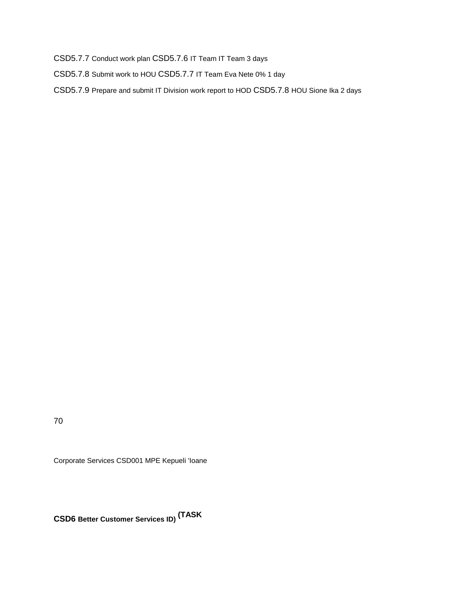CSD5.7.7 Conduct work plan CSD5.7.6 IT Team IT Team 3 days

CSD5.7.8 Submit work to HOU CSD5.7.7 IT Team Eva Nete 0% 1 day

CSD5.7.9 Prepare and submit IT Division work report to HOD CSD5.7.8 HOU Sione Ika 2 days

70

Corporate Services CSD001 MPE Kepueli 'Ioane

**CSD6 Better Customer Services ID) (TASK**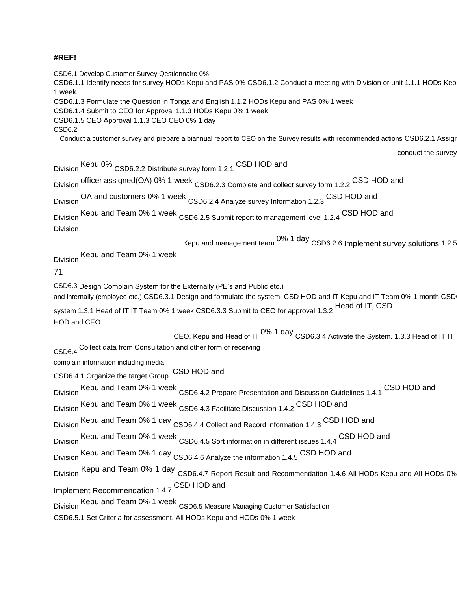#### **#REF!**

CSD6.1 Develop Customer Survey Qestionnaire 0%

CSD6.1.1 Identify needs for survey HODs Kepu and PAS 0% CSD6.1.2 Conduct a meeting with Division or unit 1.1.1 HODs Kep 1 week

CSD6.1.3 Formulate the Question in Tonga and English 1.1.2 HODs Kepu and PAS 0% 1 week

CSD6.1.4 Submit to CEO for Approval 1.1.3 HODs Kepu 0% 1 week

CSD6.1.5 CEO Approval 1.1.3 CEO CEO 0% 1 day

CSD6.2

Conduct a customer survey and prepare a biannual report to CEO on the Survey results with recommended actions CSD6.2.1 Assign

conduct the survey

Division Kepu 0% CSD6.2.2 Distribute survey form 1.2.1 CSD HOD and Division officer assigned(OA) 0% 1 week CSD6.2.3 Complete and collect survey form 1.2.2 CSD HOD and Division OA and customers 0% 1 week CSD6.2.4 Analyze survey Information 1.2.3 CSD HOD and Division Kepu and Team 0% 1 week CSD6.2.5 Submit report to management level 1.2.4 CSD HOD and Division Kepu and management team  $0\%$  1 day  $\,$  CSD6.2.6 Implement survey solutions 1.2.5 Division Kepu and Team 0% 1 week 71 CSD6.3 Design Complain System for the Externally (PE's and Public etc.) and internally (employee etc.) CSD6.3.1 Design and formulate the system. CSD HOD and IT Kepu and IT Team 0% 1 month CSD system 1.3.1 Head of IT IT Team 0% 1 week CSD6.3.3 Submit to CEO for approval 1.3.2 Head of IT, CSD HOD and CEO CEO, Kepu and Head of IT  $0\%$  1 day CSD6.3.4 Activate the System. 1.3.3 Head of IT IT CSD6.4 Collect data from Consultation and other form of receiving complain information including media CSD6.4.1 Organize the target Group. CSD HOD and Division Kepu and Team 0% 1 week CSD6.4.2 Prepare Presentation and Discussion Guidelines 1.4.1 CSD HOD and Division Kepu and Team 0% 1 week CSD6.4.3 Facilitate Discussion 1.4.2 CSD HOD and Division Kepu and Team 0% 1 day CSD6.4.4 Collect and Record information 1.4.3 CSD HOD and Division Kepu and Team 0% 1 week CSD6.4.5 Sort information in different issues 1.4.4 CSD HOD and Division Kepu and Team 0% 1 day CSD6.4.6 Analyze the information 1.4.5 CSD HOD and Division Kepu and Team 0% 1 day CSD6.4.7 Report Result and Recommendation 1.4.6 All HODs Kepu and All HODs 0% Implement Recommendation 1.4.7 CSD HOD and Division Kepu and Team 0% 1 week CSD6.5 Measure Managing Customer Satisfaction CSD6.5.1 Set Criteria for assessment. All HODs Kepu and HODs 0% 1 week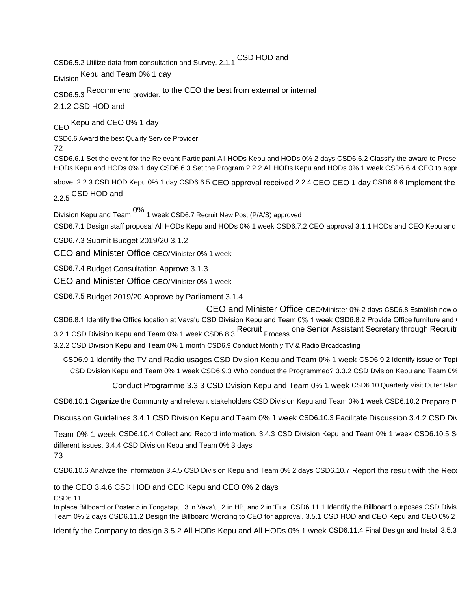CSD6.5.2 Utilize data from consultation and Survey. 2.1.1 CSD HOD and

Division Kepu and Team 0% 1 day

CSD6.5.3 Recommend provider. to the CEO the best from external or internal

2.1.2 CSD HOD and

CEO Kepu and CEO 0% 1 day

CSD6.6 Award the best Quality Service Provider 72

CSD6.6.1 Set the event for the Relevant Participant All HODs Kepu and HODs 0% 2 days CSD6.6.2 Classify the award to Prese HODs Kepu and HODs 0% 1 day CSD6.6.3 Set the Program 2.2.2 All HODs Kepu and HODs 0% 1 week CSD6.6.4 CEO to appr

above. 2.2.3 CSD HOD Kepu 0% 1 day CSD6.6.5 CEO approval received 2.2.4 CEO CEO 1 day CSD6.6.6 Implement the

2.2.5 CSD HOD and

Division Kepu and Team 0% 1 week CSD6.7 Recruit New Post (P/A/S) approved

CSD6.7.1 Design staff proposal All HODs Kepu and HODs 0% 1 week CSD6.7.2 CEO approval 3.1.1 HODs and CEO Kepu and

CSD6.7.3 Submit Budget 2019/20 3.1.2

CEO and Minister Office CEO/Minister 0% 1 week

CSD6.7.4 Budget Consultation Approve 3.1.3

CEO and Minister Office CEO/Minister 0% 1 week

CSD6.7.5 Budget 2019/20 Approve by Parliament 3.1.4

CEO and Minister Office CEO/Minister 0% 2 days CSD6.8 Establish new of CSD6.8.1 Identify the Office location at Vava'u CSD Division Kepu and Team 0% 1 week CSD6.8.2 Provide Office furniture and 3.2.1 CSD Division Kepu and Team 0% 1 week CSD6.8.3 Recruit Process one Senior Assistant Secretary through Recruitr

3.2.2 CSD Division Kepu and Team 0% 1 month CSD6.9 Conduct Monthly TV & Radio Broadcasting

CSD6.9.1 Identify the TV and Radio usages CSD Dvision Kepu and Team 0% 1 week CSD6.9.2 Identify issue or Topi CSD Dvision Kepu and Team 0% 1 week CSD6.9.3 Who conduct the Programmed? 3.3.2 CSD Dvision Kepu and Team 0%

Conduct Programme 3.3.3 CSD Dvision Kepu and Team 0% 1 week CSD6.10 Quarterly Visit Outer Islan

CSD6.10.1 Organize the Community and relevant stakeholders CSD Division Kepu and Team 0% 1 week CSD6.10.2 Prepare P

Discussion Guidelines 3.4.1 CSD Division Kepu and Team 0% 1 week CSD6.10.3 Facilitate Discussion 3.4.2 CSD Div

Team 0% 1 week CSD6.10.4 Collect and Record information. 3.4.3 CSD Division Kepu and Team 0% 1 week CSD6.10.5 S different issues. 3.4.4 CSD Division Kepu and Team 0% 3 days 73

CSD6.10.6 Analyze the information 3.4.5 CSD Division Kepu and Team 0% 2 days CSD6.10.7 Report the result with the Recommendation

to the CEO 3.4.6 CSD HOD and CEO Kepu and CEO 0% 2 days

CSD6.11

In place Billboard or Poster 5 in Tongatapu, 3 in Vava'u, 2 in HP, and 2 in 'Eua. CSD6.11.1 Identify the Billboard purposes CSD Divis Team 0% 2 days CSD6.11.2 Design the Billboard Wording to CEO for approval. 3.5.1 CSD HOD and CEO Kepu and CEO 0% 2

Identify the Company to design 3.5.2 All HODs Kepu and All HODs 0% 1 week CSD6.11.4 Final Design and Install 3.5.3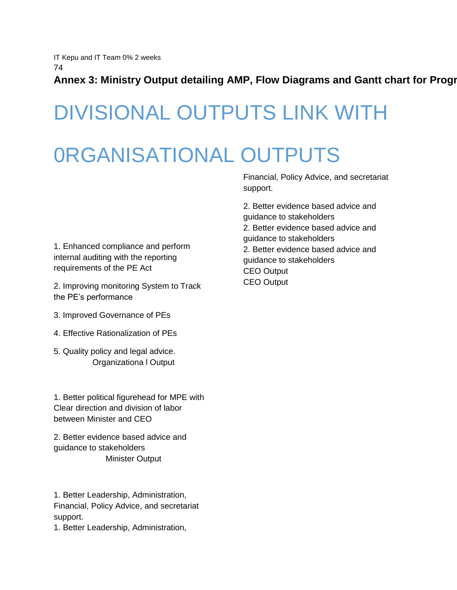IT Kepu and IT Team 0% 2 weeks 74

Annex 3: Ministry Output detailing AMP, Flow Diagrams and Gantt chart for Progr

## DIVISIONAL OUTPUTS LINK WITH

## 0RGANISATIONAL OUTPUTS

Financial, Policy Advice, and secretariat support.

2. Better evidence based advice and guidance to stakeholders 2. Better evidence based advice and guidance to stakeholders 2. Better evidence based advice and guidance to stakeholders CEO Output CEO Output

1. Enhanced compliance and perform internal auditing with the reporting requirements of the PE Act

2. Improving monitoring System to Track the PE's performance

- 3. Improved Governance of PEs
- 4. Effective Rationalization of PEs
- 5. Quality policy and legal advice. Organizationa l Output

1. Better political figurehead for MPE with Clear direction and division of labor between Minister and CEO

2. Better evidence based advice and guidance to stakeholders Minister Output

1. Better Leadership, Administration, Financial, Policy Advice, and secretariat support.

1. Better Leadership, Administration,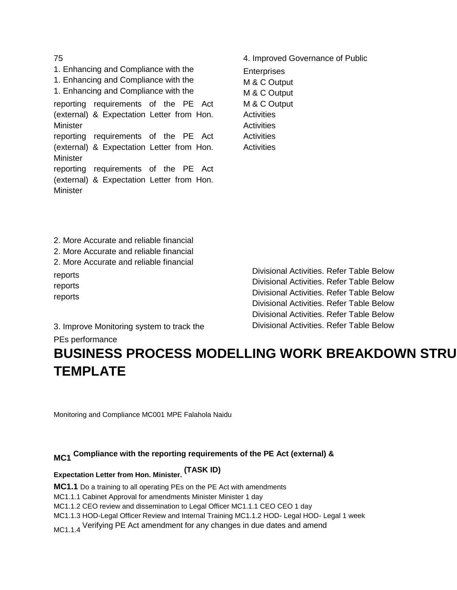1. Enhancing and Compliance with the 1. Enhancing and Compliance with the 1. Enhancing and Compliance with the reporting requirements of the PE Act (external) & Expectation Letter from Hon. **Minister** reporting requirements of the PE Act (external) & Expectation Letter from Hon. **Minister** reporting requirements of the PE Act (external) & Expectation Letter from Hon. **Minister** 

4. Improved Governance of Public

**Enterprises** M & C Output M & C Output M & C Output **Activities Activities Activities Activities** 

2. More Accurate and reliable financial 2. More Accurate and reliable financial 2. More Accurate and reliable financial reports reports reports

Divisional Activities. Refer Table Below Divisional Activities. Refer Table Below Divisional Activities. Refer Table Below Divisional Activities. Refer Table Below Divisional Activities. Refer Table Below Divisional Activities. Refer Table Below

3. Improve Monitoring system to track the

PEs performance

## **BUSINESS PROCESS MODELLING WORK BREAKDOWN STRU TEMPLATE**

Monitoring and Compliance MC001 MPE Falahola Naidu

## **MC1 Compliance with the reporting requirements of the PE Act (external) &**

## **Expectation Letter from Hon. Minister. (TASK ID)**

**MC1.1** Do a training to all operating PEs on the PE Act with amendments

MC1.1.1 Cabinet Approval for amendments Minister Minister 1 day

MC1.1.2 CEO review and dissemination to Legal Officer MC1.1.1 CEO CEO 1 day

MC1.1.3 HOD-Legal Officer Review and Internal Training MC1.1.2 HOD- Legal HOD- Legal 1 week

MC1.1.4 Verifying PE Act amendment for any changes in due dates and amend

#### 75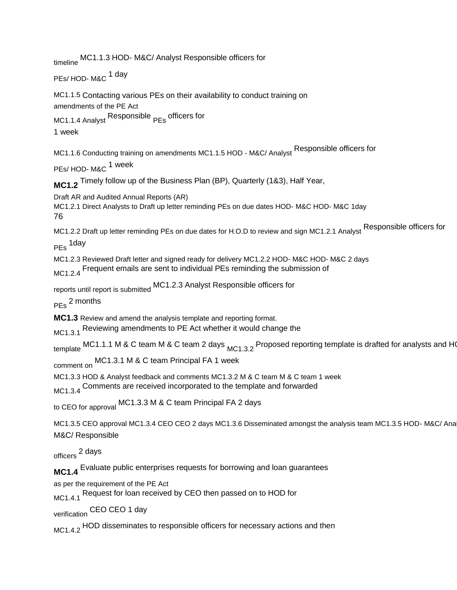timeline MC1.1.3 HOD- M&C/ Analyst Responsible officers for PEs/ HOD- M&C <sup>1 day</sup> MC1.1.5 Contacting various PEs on their availability to conduct training on amendments of the PE Act MC1.1.4 Analyst Responsible <sub>PEs</sub> officers for 1 week MC1.1.6 Conducting training on amendments MC1.1.5 HOD - M&C/ Analyst Responsible officers for PEs/ HOD- M&C <sup>1</sup> week **MC1.2** Timely follow up of the Business Plan (BP), Quarterly (1&3), Half Year, Draft AR and Audited Annual Reports (AR) MC1.2.1 Direct Analysts to Draft up letter reminding PEs on due dates HOD- M&C HOD- M&C 1day 76 MC1.2.2 Draft up letter reminding PEs on due dates for H.O.D to review and sign MC1.2.1 Analyst Responsible officers for PEs 1day MC1.2.3 Reviewed Draft letter and signed ready for delivery MC1.2.2 HOD- M&C HOD- M&C 2 days MC1.2.4 Frequent emails are sent to individual PEs reminding the submission of reports until report is submitted MC1.2.3 Analyst Responsible officers for PEs 2 months **MC1.3** Review and amend the analysis template and reporting format. MC1.3.1 Reviewing amendments to PE Act whether it would change the template MC1.1.1 M & C team M & C team 2 days  $_{MC1.3.2}$  Proposed reporting template is drafted for analysts and HO comment on MC1.3.1 M & C team Principal FA 1 week MC1.3.3 HOD & Analyst feedback and comments MC1.3.2 M & C team M & C team 1 week MC1.3.4 Comments are received incorporated to the template and forwarded to CEO for approval MC1.3.3 M & C team Principal FA 2 days MC1.3.5 CEO approval MC1.3.4 CEO CEO 2 days MC1.3.6 Disseminated amongst the analysis team MC1.3.5 HOD-M&C/ Ana M&C/ Responsible officers 2 days **MC1.4** Evaluate public enterprises requests for borrowing and loan guarantees as per the requirement of the PE Act MC1.4.1 Request for loan received by CEO then passed on to HOD for verification CEO CEO 1 day MC1.4.2 HOD disseminates to responsible officers for necessary actions and then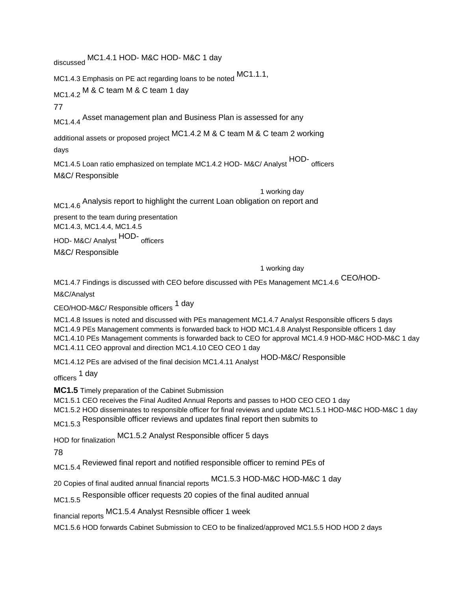discussed MC1.4.1 HOD- M&C HOD- M&C 1 day MC1.4.3 Emphasis on PE act regarding loans to be noted MC1.1.1, MC1.4.2 M & C team M & C team 1 day 77 MC1.4.4 Asset management plan and Business Plan is assessed for any additional assets or proposed project MC1.4.2 M & C team M & C team 2 working days MC1.4.5 Loan ratio emphasized on template MC1.4.2 HOD- M&C/ Analyst HOD-officers M&C/ Responsible 1 working day MC1.4.6 Analysis report to highlight the current Loan obligation on report and present to the team during presentation MC1.4.3, MC1.4.4, MC1.4.5 HOD- M&C/ Analyst HOD-officers M&C/ Responsible 1 working day MC1.4.7 Findings is discussed with CEO before discussed with PEs Management MC1.4.6 CEO/HOD-M&C/Analyst CEO/HOD-M&C/ Responsible officers 1 day MC1.4.8 Issues is noted and discussed with PEs management MC1.4.7 Analyst Responsible officers 5 days MC1.4.9 PEs Management comments is forwarded back to HOD MC1.4.8 Analyst Responsible officers 1 day MC1.4.10 PEs Management comments is forwarded back to CEO for approval MC1.4.9 HOD-M&C HOD-M&C 1 day MC1.4.11 CEO approval and direction MC1.4.10 CEO CEO 1 day MC1.4.12 PEs are advised of the final decision MC1.4.11 Analyst HOD-M&C/ Responsible officers 1 day **MC1.5** Timely preparation of the Cabinet Submission MC1.5.1 CEO receives the Final Audited Annual Reports and passes to HOD CEO CEO 1 day MC1.5.2 HOD disseminates to responsible officer for final reviews and update MC1.5.1 HOD-M&C HOD-M&C 1 day MC1.5.3 Responsible officer reviews and updates final report then submits to HOD for finalization MC1.5.2 Analyst Responsible officer 5 days 78 MC1.5.4 Reviewed final report and notified responsible officer to remind PEs of 20 Copies of final audited annual financial reports MC1.5.3 HOD-M&C HOD-M&C 1 day MC1.5.5 Responsible officer requests 20 copies of the final audited annual financial reports MC1.5.4 Analyst Resnsible officer 1 week MC1.5.6 HOD forwards Cabinet Submission to CEO to be finalized/approved MC1.5.5 HOD HOD 2 days